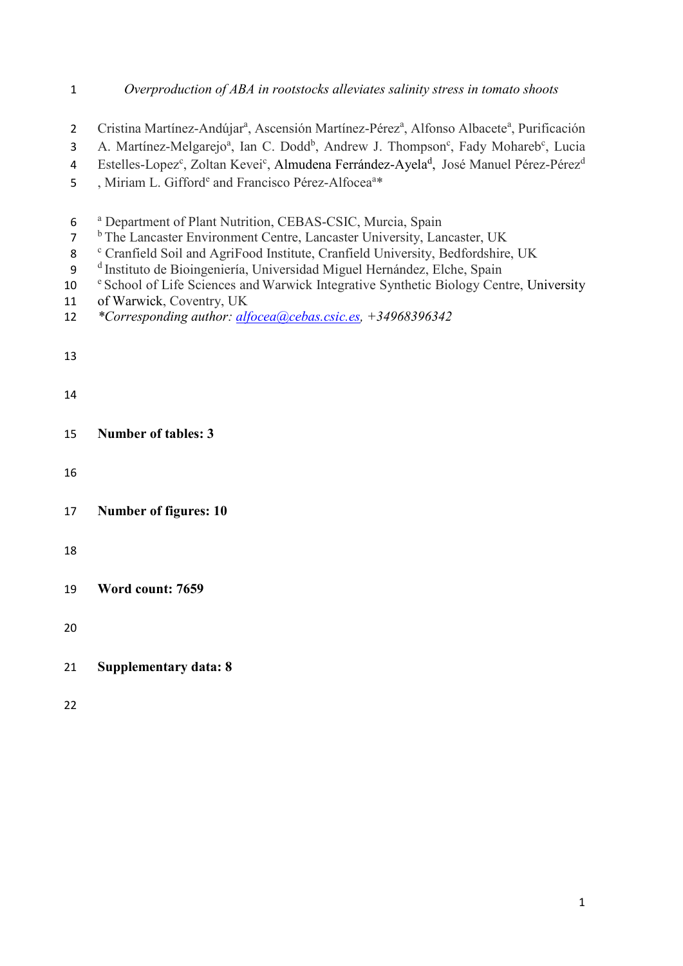# *Overproduction of ABA in rootstocks alleviates salinity stress in tomato shoots*

- 2 Cristina Martínez-Andújar<sup>a</sup>, Ascensión Martínez-Pérez<sup>a</sup>, Alfonso Albacete<sup>a</sup>, Purificación
- 3 A. Martínez-Melgarejo<sup>a</sup>, Ian C. Dodd<sup>b</sup>, Andrew J. Thompson<sup>c</sup>, Fady Mohareb<sup>c</sup>, Lucia
- 4 Estelles-Lopez<sup>c</sup>, Zoltan Kevei<sup>c</sup>, Almudena Ferrández-Ayela<sup>d</sup>, José Manuel Pérez-Pérez<sup>d</sup>
- 5 , Miriam L. Gifford<sup>e</sup> and Francisco Pérez-Alfocea<sup>a\*</sup>
- <sup>a</sup> Department of Plant Nutrition, CEBAS-CSIC, Murcia, Spain <sup>b</sup> The Lancaster Environment Centre, Lancaster University, Lancaster, UK <sup>c</sup> Cranfield Soil and AgriFood Institute, Cranfield University, Bedfordshire, UK <sup>d</sup> Instituto de Bioingeniería, Universidad Miguel Hernández, Elche, Spain<br>10 <sup>e</sup> School of Life Sciences and Warwick Integrative Synthetic Biology Centre, University of Warwick, Coventry, UK *\*Corresponding author: [alfocea@cebas.csic.es,](mailto:alfocea@cebas.csic.es) +34968396342* **Number of tables: 3 Number of figures: 10 Word count: 7659**
- **Supplementary data: 8**
-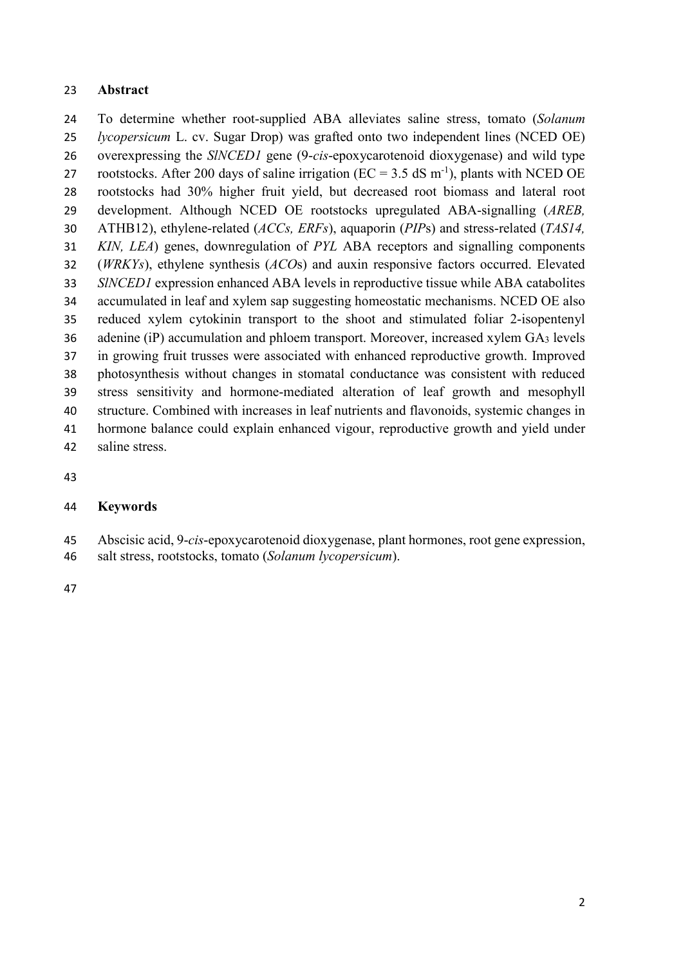#### **Abstract**

 To determine whether root-supplied ABA alleviates saline stress, tomato (*Solanum lycopersicum* L. cv. Sugar Drop) was grafted onto two independent lines (NCED OE) overexpressing the *SlNCED1* gene (9-*cis*-epoxycarotenoid dioxygenase) and wild type 27 rootstocks. After 200 days of saline irrigation ( $EC = 3.5$  dS m<sup>-1</sup>), plants with NCED OE rootstocks had 30% higher fruit yield, but decreased root biomass and lateral root development. Although NCED OE rootstocks upregulated ABA-signalling (*AREB,*  ATHB12), ethylene-related (*ACCs, ERFs*), aquaporin (*PIP*s) and stress-related (*TAS14, KIN, LEA*) genes, downregulation of *PYL* ABA receptors and signalling components (*WRKYs*), ethylene synthesis (*ACO*s) and auxin responsive factors occurred. Elevated *SlNCED1* expression enhanced ABA levels in reproductive tissue while ABA catabolites accumulated in leaf and xylem sap suggesting homeostatic mechanisms. NCED OE also reduced xylem cytokinin transport to the shoot and stimulated foliar 2-isopentenyl 36 adenine (iP) accumulation and phloem transport. Moreover, increased xylem  $GA_3$  levels in growing fruit trusses were associated with enhanced reproductive growth. Improved photosynthesis without changes in stomatal conductance was consistent with reduced stress sensitivity and hormone-mediated alteration of leaf growth and mesophyll structure. Combined with increases in leaf nutrients and flavonoids, systemic changes in hormone balance could explain enhanced vigour, reproductive growth and yield under saline stress.

## **Keywords**

- Abscisic acid, 9-*cis*-epoxycarotenoid dioxygenase, plant hormones, root gene expression,
- salt stress, rootstocks, tomato (*Solanum lycopersicum*).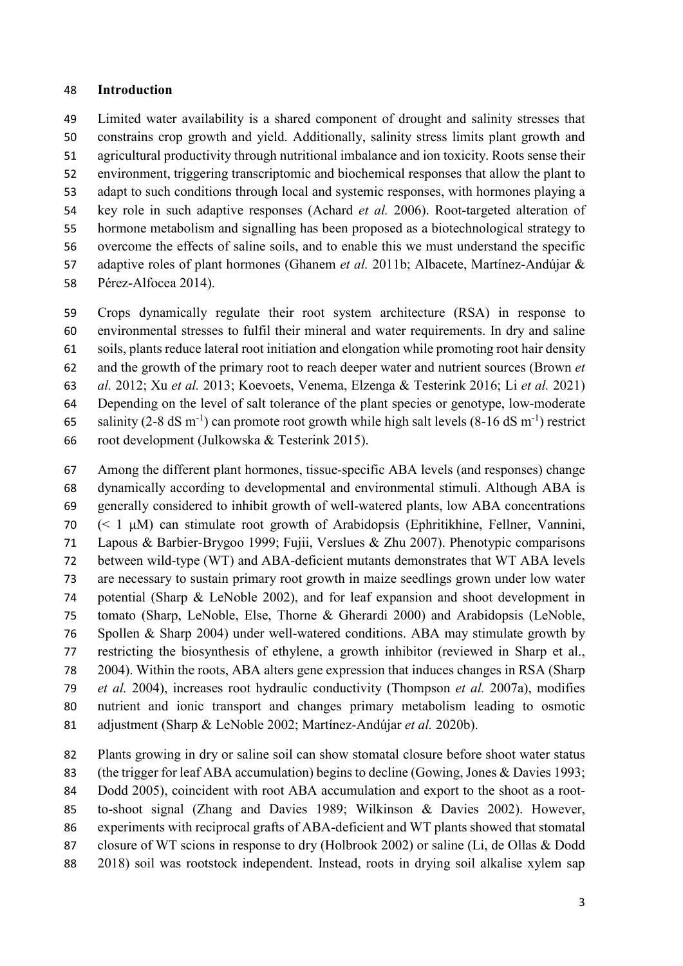#### **Introduction**

 Limited water availability is a shared component of drought and salinity stresses that constrains crop growth and yield. Additionally, salinity stress limits plant growth and agricultural productivity through nutritional imbalance and ion toxicity. Roots sense their environment, triggering transcriptomic and biochemical responses that allow the plant to adapt to such conditions through local and systemic responses, with hormones playing a key role in such adaptive responses (Achard *et al.* 2006). Root-targeted alteration of hormone metabolism and signalling has been proposed as a biotechnological strategy to overcome the effects of saline soils, and to enable this we must understand the specific adaptive roles of plant hormones (Ghanem *et al.* 2011b; Albacete, Martínez-Andújar & Pérez-Alfocea 2014).

 Crops dynamically regulate their root system architecture (RSA) in response to environmental stresses to fulfil their mineral and water requirements. In dry and saline soils, plants reduce lateral root initiation and elongation while promoting root hair density and the growth of the primary root to reach deeper water and nutrient sources (Brown *et al.* 2012; Xu *et al.* 2013; Koevoets, Venema, Elzenga & Testerink 2016; Li *et al.* 2021) Depending on the level of salt tolerance of the plant species or genotype, low-moderate 65 salinity (2-8 dS m<sup>-1</sup>) can promote root growth while high salt levels (8-16 dS m<sup>-1</sup>) restrict root development (Julkowska & Testerink 2015).

 Among the different plant hormones, tissue-specific ABA levels (and responses) change dynamically according to developmental and environmental stimuli. Although ABA is generally considered to inhibit growth of well-watered plants, low ABA concentrations (< 1 μM) can stimulate root growth of Arabidopsis (Ephritikhine, Fellner, Vannini, Lapous & Barbier-Brygoo 1999; Fujii, Verslues & Zhu 2007). Phenotypic comparisons between wild-type (WT) and ABA-deficient mutants demonstrates that WT ABA levels are necessary to sustain primary root growth in maize seedlings grown under low water potential (Sharp & LeNoble 2002), and for leaf expansion and shoot development in tomato (Sharp, LeNoble, Else, Thorne & Gherardi 2000) and Arabidopsis (LeNoble, Spollen & Sharp 2004) under well-watered conditions. ABA may stimulate growth by restricting the biosynthesis of ethylene, a growth inhibitor (reviewed in Sharp et al., 2004). Within the roots, ABA alters gene expression that induces changes in RSA (Sharp *et al.* 2004), increases root hydraulic conductivity (Thompson *et al.* 2007a), modifies nutrient and ionic transport and changes primary metabolism leading to osmotic adjustment (Sharp & LeNoble 2002; Martínez-Andújar *et al.* 2020b).

 Plants growing in dry or saline soil can show stomatal closure before shoot water status (the trigger for leaf ABA accumulation) begins to decline (Gowing, Jones & Davies 1993; Dodd 2005), coincident with root ABA accumulation and export to the shoot as a root- to-shoot signal (Zhang and Davies 1989; Wilkinson & Davies 2002). However, experiments with reciprocal grafts of ABA-deficient and WT plants showed that stomatal closure of WT scions in response to dry (Holbrook 2002) or saline (Li, de Ollas & Dodd 2018) soil was rootstock independent. Instead, roots in drying soil alkalise xylem sap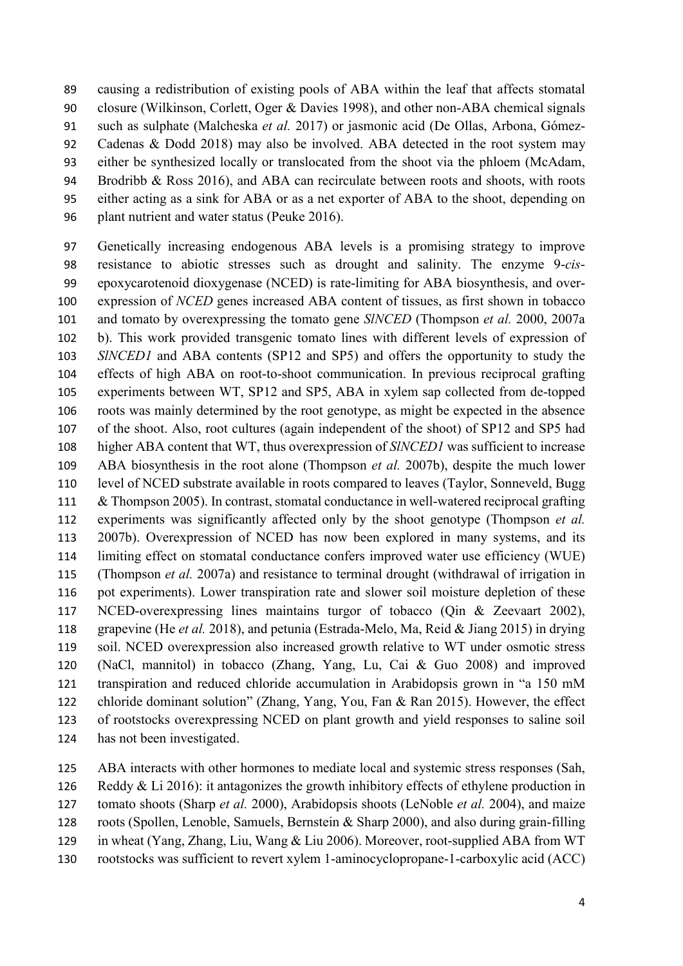causing a redistribution of existing pools of ABA within the leaf that affects stomatal closure (Wilkinson, Corlett, Oger & Davies 1998), and other non-ABA chemical signals such as sulphate (Malcheska *et al.* 2017) or jasmonic acid (De Ollas, Arbona, Gómez- Cadenas & Dodd 2018) may also be involved. ABA detected in the root system may either be synthesized locally or translocated from the shoot via the phloem (McAdam, 94 Brodribb & Ross 2016), and ABA can recirculate between roots and shoots, with roots either acting as a sink for ABA or as a net exporter of ABA to the shoot, depending on plant nutrient and water status (Peuke 2016).

 Genetically increasing endogenous ABA levels is a promising strategy to improve resistance to abiotic stresses such as drought and salinity. The enzyme 9-*cis*- epoxycarotenoid dioxygenase (NCED) is rate-limiting for ABA biosynthesis, and over- expression of *NCED* genes increased ABA content of tissues, as first shown in tobacco and tomato by overexpressing the tomato gene *SlNCED* (Thompson *et al.* 2000, 2007a b). This work provided transgenic tomato lines with different levels of expression of *SlNCED1* and ABA contents (SP12 and SP5) and offers the opportunity to study the effects of high ABA on root-to-shoot communication. In previous reciprocal grafting experiments between WT, SP12 and SP5, ABA in xylem sap collected from de-topped roots was mainly determined by the root genotype, as might be expected in the absence of the shoot. Also, root cultures (again independent of the shoot) of SP12 and SP5 had higher ABA content that WT, thus overexpression of *SlNCED1* was sufficient to increase ABA biosynthesis in the root alone (Thompson *et al.* 2007b), despite the much lower level of NCED substrate available in roots compared to leaves (Taylor, Sonneveld, Bugg & Thompson 2005). In contrast, stomatal conductance in well-watered reciprocal grafting experiments was significantly affected only by the shoot genotype (Thompson *et al.* 2007b). Overexpression of NCED has now been explored in many systems, and its limiting effect on stomatal conductance confers improved water use efficiency (WUE) (Thompson *et al.* 2007a) and resistance to terminal drought (withdrawal of irrigation in pot experiments). Lower transpiration rate and slower soil moisture depletion of these NCED-overexpressing lines maintains turgor of tobacco (Qin & Zeevaart 2002), grapevine (He *et al.* 2018), and petunia (Estrada-Melo, Ma, Reid & Jiang 2015) in drying soil. NCED overexpression also increased growth relative to WT under osmotic stress (NaCl, mannitol) in tobacco (Zhang, Yang, Lu, Cai & Guo 2008) and improved transpiration and reduced chloride accumulation in Arabidopsis grown in "a 150 mM chloride dominant solution" (Zhang, Yang, You, Fan & Ran 2015). However, the effect of rootstocks overexpressing NCED on plant growth and yield responses to saline soil has not been investigated.

ABA interacts with other hormones to mediate local and systemic stress responses (Sah,

126 Reddy & Li 2016): it antagonizes the growth inhibitory effects of ethylene production in

tomato shoots (Sharp *et al.* 2000), Arabidopsis shoots (LeNoble *et al.* 2004), and maize

roots (Spollen, Lenoble, Samuels, Bernstein & Sharp 2000), and also during grain-filling

in wheat (Yang, Zhang, Liu, Wang & Liu 2006). Moreover, root-supplied ABA from WT

rootstocks was sufficient to revert xylem 1-aminocyclopropane-1-carboxylic acid (ACC)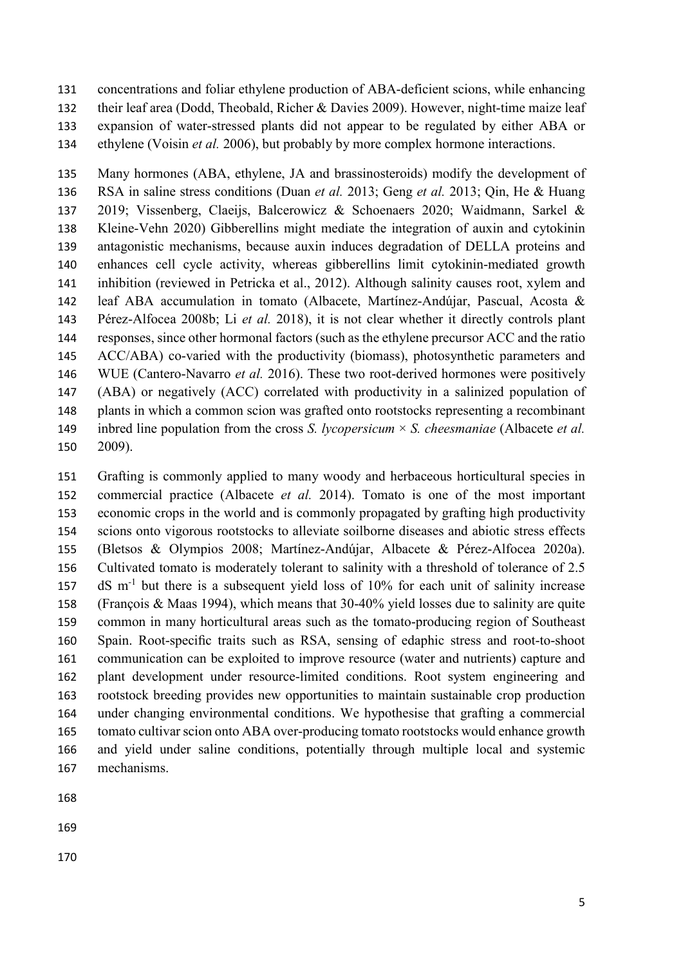concentrations and foliar ethylene production of ABA-deficient scions, while enhancing their leaf area (Dodd, Theobald, Richer & Davies 2009). However, night-time maize leaf expansion of water-stressed plants did not appear to be regulated by either ABA or ethylene (Voisin *et al.* 2006), but probably by more complex hormone interactions.

 Many hormones (ABA, ethylene, JA and brassinosteroids) modify the development of RSA in saline stress conditions (Duan *et al.* 2013; Geng *et al.* 2013; Qin, He & Huang 2019; Vissenberg, Claeijs, Balcerowicz & Schoenaers 2020; Waidmann, Sarkel & Kleine-Vehn 2020) Gibberellins might mediate the integration of auxin and cytokinin antagonistic mechanisms, because auxin induces degradation of DELLA proteins and enhances cell cycle activity, whereas gibberellins limit cytokinin-mediated growth inhibition (reviewed in Petricka et al., 2012). Although salinity causes root, xylem and leaf ABA accumulation in tomato (Albacete, Martínez-Andújar, Pascual, Acosta & Pérez-Alfocea 2008b; Li *et al.* 2018), it is not clear whether it directly controls plant responses, since other hormonal factors (such as the ethylene precursor ACC and the ratio ACC/ABA) co-varied with the productivity (biomass), photosynthetic parameters and WUE (Cantero-Navarro *et al.* 2016). These two root-derived hormones were positively (ABA) or negatively (ACC) correlated with productivity in a salinized population of plants in which a common scion was grafted onto rootstocks representing a recombinant inbred line population from the cross *S. lycopersicum* × *S. cheesmaniae* (Albacete *et al.* 2009).

 Grafting is commonly applied to many woody and herbaceous horticultural species in commercial practice (Albacete *et al.* 2014). Tomato is one of the most important economic crops in the world and is commonly propagated by grafting high productivity scions onto vigorous rootstocks to alleviate soilborne diseases and abiotic stress effects (Bletsos & Olympios 2008; Martínez-Andújar, Albacete & Pérez-Alfocea 2020a). Cultivated tomato is moderately tolerant to salinity with a threshold of tolerance of 2.5 dS m<sup>-1</sup> but there is a subsequent yield loss of 10% for each unit of salinity increase (François & Maas 1994), which means that 30-40% yield losses due to salinity are quite common in many horticultural areas such as the tomato-producing region of Southeast Spain. Root-specific traits such as RSA, sensing of edaphic stress and root-to-shoot communication can be exploited to improve resource (water and nutrients) capture and plant development under resource-limited conditions. Root system engineering and rootstock breeding provides new opportunities to maintain sustainable crop production under changing environmental conditions. We hypothesise that grafting a commercial 165 tomato cultivar scion onto ABA over-producing tomato rootstocks would enhance growth and yield under saline conditions, potentially through multiple local and systemic mechanisms.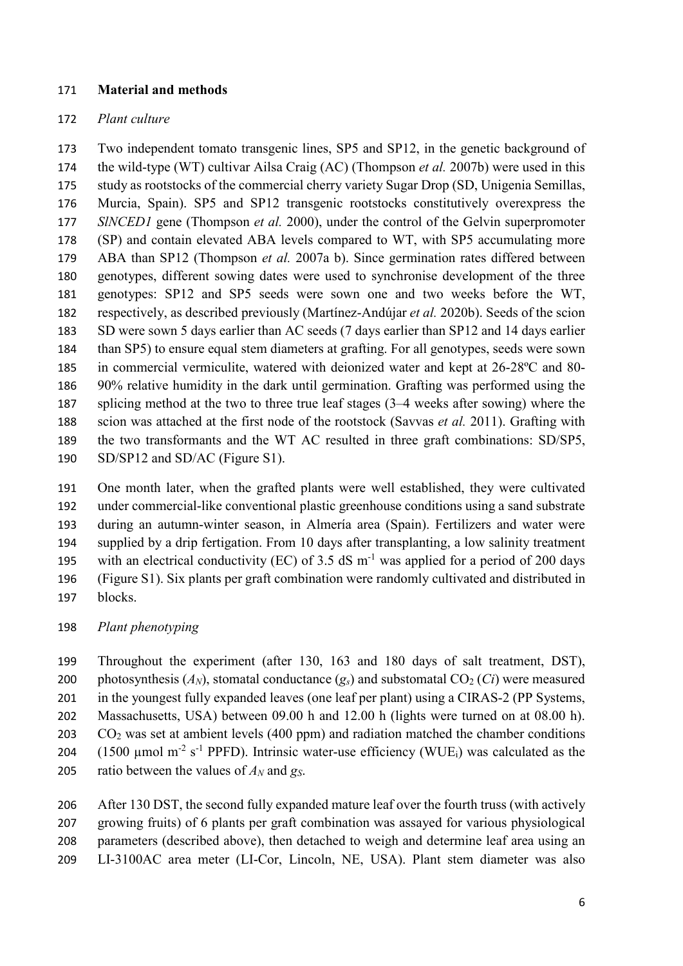#### **Material and methods**

#### *Plant culture*

 Two independent tomato transgenic lines, SP5 and SP12, in the genetic background of the wild-type (WT) cultivar Ailsa Craig (AC) (Thompson *et al.* 2007b) were used in this study as rootstocks of the commercial cherry variety Sugar Drop (SD, Unigenia Semillas, Murcia, Spain). SP5 and SP12 transgenic rootstocks constitutively overexpress the *SlNCED1* gene (Thompson *et al.* 2000), under the control of the Gelvin superpromoter (SP) and contain elevated ABA levels compared to WT, with SP5 accumulating more ABA than SP12 (Thompson *et al.* 2007a b). Since germination rates differed between genotypes, different sowing dates were used to synchronise development of the three genotypes: SP12 and SP5 seeds were sown one and two weeks before the WT, respectively, as described previously (Martínez-Andújar *et al.* 2020b). Seeds of the scion SD were sown 5 days earlier than AC seeds (7 days earlier than SP12 and 14 days earlier than SP5) to ensure equal stem diameters at grafting. For all genotypes, seeds were sown in commercial vermiculite, watered with deionized water and kept at 26-28ºC and 80- 90% relative humidity in the dark until germination. Grafting was performed using the splicing method at the two to three true leaf stages (3–4 weeks after sowing) where the scion was attached at the first node of the rootstock (Savvas *et al.* 2011). Grafting with the two transformants and the WT AC resulted in three graft combinations: SD/SP5, SD/SP12 and SD/AC (Figure S1).

 One month later, when the grafted plants were well established, they were cultivated under commercial-like conventional plastic greenhouse conditions using a sand substrate during an autumn-winter season, in Almería area (Spain). Fertilizers and water were supplied by a drip fertigation. From 10 days after transplanting, a low salinity treatment 195 with an electrical conductivity (EC) of 3.5 dS  $m^{-1}$  was applied for a period of 200 days (Figure S1). Six plants per graft combination were randomly cultivated and distributed in blocks.

*Plant phenotyping*

 Throughout the experiment (after 130, 163 and 180 days of salt treatment, DST), 200 photosynthesis  $(A_N)$ , stomatal conductance  $(g_s)$  and substomatal  $CO_2$   $(C_i)$  were measured 201 in the youngest fully expanded leaves (one leaf per plant) using a CIRAS-2 (PP Systems, Massachusetts, USA) between 09.00 h and 12.00 h (lights were turned on at 08.00 h). CO<sub>2</sub> was set at ambient levels (400 ppm) and radiation matched the chamber conditions  $(1500 \text{ µmol m}^{-2} \text{ s}^{-1}$  PPFD). Intrinsic water-use efficiency (WUE<sub>i</sub>) was calculated as the ratio between the values of *AN* and *gS*.

206 After 130 DST, the second fully expanded mature leaf over the fourth truss (with actively growing fruits) of 6 plants per graft combination was assayed for various physiological parameters (described above), then detached to weigh and determine leaf area using an LI-3100AC area meter (LI-Cor, Lincoln, NE, USA). Plant stem diameter was also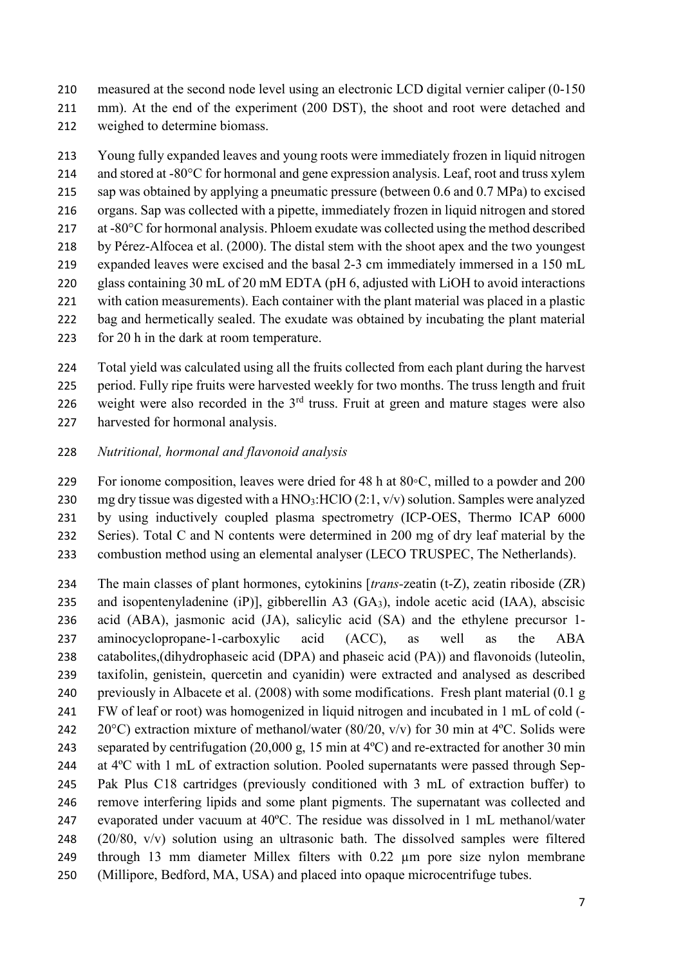measured at the second node level using an electronic LCD digital vernier caliper (0-150 mm). At the end of the experiment (200 DST), the shoot and root were detached and weighed to determine biomass.

 Young fully expanded leaves and young roots were immediately frozen in liquid nitrogen 214 and stored at -80°C for hormonal and gene expression analysis. Leaf, root and truss xylem sap was obtained by applying a pneumatic pressure (between 0.6 and 0.7 MPa) to excised organs. Sap was collected with a pipette, immediately frozen in liquid nitrogen and stored at -80°C for hormonal analysis. Phloem exudate was collected using the method described by Pérez-Alfocea et al. (2000). The distal stem with the shoot apex and the two youngest expanded leaves were excised and the basal 2-3 cm immediately immersed in a 150 mL glass containing 30 mL of 20 mM EDTA (pH 6, adjusted with LiOH to avoid interactions with cation measurements). Each container with the plant material was placed in a plastic bag and hermetically sealed. The exudate was obtained by incubating the plant material for 20 h in the dark at room temperature.

 Total yield was calculated using all the fruits collected from each plant during the harvest period. Fully ripe fruits were harvested weekly for two months. The truss length and fruit 226 weight were also recorded in the  $3<sup>rd</sup>$  truss. Fruit at green and mature stages were also harvested for hormonal analysis.

- *Nutritional, hormonal and flavonoid analysis*
- For ionome composition, leaves were dried for 48 h at 80◦C, milled to a powder and 200 mg dry tissue was digested with a HNO3:HClO (2:1, v/v) solution. Samples were analyzed by using inductively coupled plasma spectrometry (ICP-OES, Thermo ICAP 6000 Series). Total C and N contents were determined in 200 mg of dry leaf material by the combustion method using an elemental analyser (LECO TRUSPEC, The Netherlands).
- The main classes of plant hormones, cytokinins [*trans-*zeatin (t-Z), zeatin riboside (ZR) and isopentenyladenine (iP)], gibberellin A3 (GA3), indole acetic acid (IAA), abscisic acid (ABA), jasmonic acid (JA), salicylic acid (SA) and the ethylene precursor 1- aminocyclopropane-1-carboxylic acid (ACC), as well as the ABA catabolites,(dihydrophaseic acid (DPA) and phaseic acid (PA)) and flavonoids (luteolin, taxifolin, genistein, quercetin and cyanidin) were extracted and analysed as described previously in Albacete et al. (2008) with some modifications. Fresh plant material (0.1 g FW of leaf or root) was homogenized in liquid nitrogen and incubated in 1 mL of cold (- 242 20°C) extraction mixture of methanol/water (80/20, v/v) for 30 min at 4°C. Solids were separated by centrifugation (20,000 g, 15 min at 4ºC) and re-extracted for another 30 min at 4ºC with 1 mL of extraction solution. Pooled supernatants were passed through Sep- Pak Plus C18 cartridges (previously conditioned with 3 mL of extraction buffer) to remove interfering lipids and some plant pigments. The supernatant was collected and evaporated under vacuum at 40ºC. The residue was dissolved in 1 mL methanol/water (20/80, v/v) solution using an ultrasonic bath. The dissolved samples were filtered through 13 mm diameter Millex filters with 0.22 µm pore size nylon membrane (Millipore, Bedford, MA, USA) and placed into opaque microcentrifuge tubes.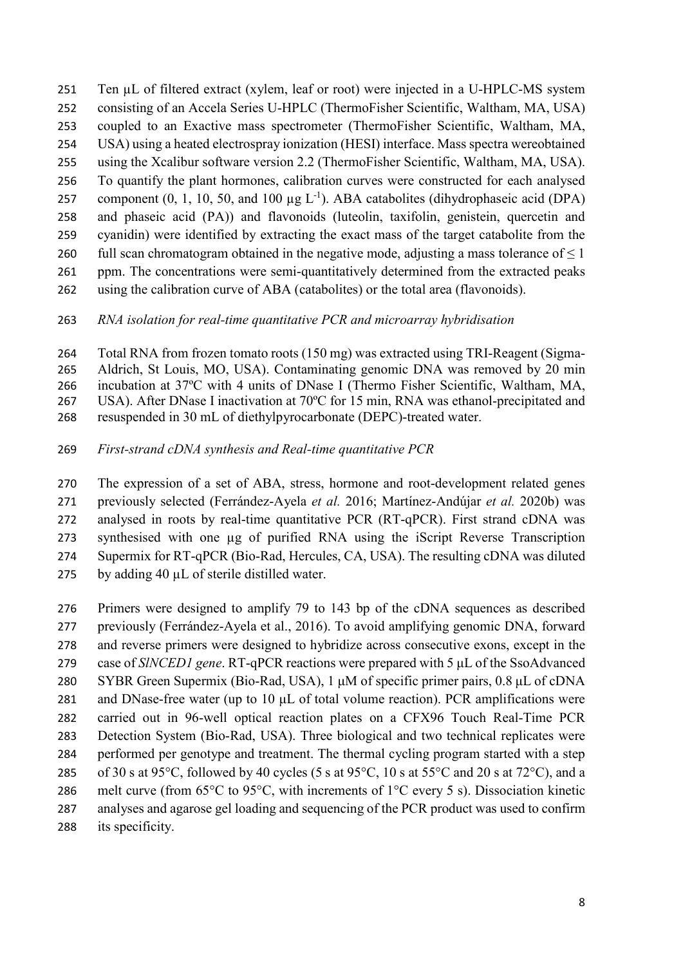- Ten µL of filtered extract (xylem, leaf or root) were injected in a U-HPLC-MS system consisting of an Accela Series U-HPLC (ThermoFisher Scientific, Waltham, MA, USA) coupled to an Exactive mass spectrometer (ThermoFisher Scientific, Waltham, MA, USA) using a heated electrospray ionization (HESI) interface. Mass spectra wereobtained using the Xcalibur software version 2.2 (ThermoFisher Scientific, Waltham, MA, USA). To quantify the plant hormones, calibration curves were constructed for each analysed component  $(0, 1, 10, 50, \text{ and } 100 \mu g L^{-1})$ . ABA catabolites (dihydrophaseic acid (DPA) and phaseic acid (PA)) and flavonoids (luteolin, taxifolin, genistein, quercetin and cyanidin) were identified by extracting the exact mass of the target catabolite from the 260 full scan chromatogram obtained in the negative mode, adjusting a mass tolerance of  $\leq 1$ 261 ppm. The concentrations were semi-quantitatively determined from the extracted peaks using the calibration curve of ABA (catabolites) or the total area (flavonoids).
- *RNA isolation for real-time quantitative PCR and microarray hybridisation*
- Total RNA from frozen tomato roots (150 mg) was extracted using TRI-Reagent (Sigma- Aldrich, St Louis, MO, USA). Contaminating genomic DNA was removed by 20 min incubation at 37ºC with 4 units of DNase I (Thermo Fisher Scientific, Waltham, MA, USA). After DNase I inactivation at 70ºC for 15 min, RNA was ethanol-precipitated and resuspended in 30 mL of diethylpyrocarbonate (DEPC)-treated water.
- *First-strand cDNA synthesis and Real-time quantitative PCR*
- The expression of a set of ABA, stress, hormone and root-development related genes previously selected (Ferrández-Ayela *et al.* 2016; Martínez-Andújar *et al.* 2020b) was analysed in roots by real-time quantitative PCR (RT-qPCR). First strand cDNA was 273 synthesised with one ug of purified RNA using the iScript Reverse Transcription Supermix for RT-qPCR (Bio-Rad, Hercules, CA, USA). The resulting cDNA was diluted 275 by adding 40 µL of sterile distilled water.
- Primers were designed to amplify 79 to 143 bp of the cDNA sequences as described previously (Ferrández-Ayela et al., 2016). To avoid amplifying genomic DNA, forward and reverse primers were designed to hybridize across consecutive exons, except in the case of *SlNCED1 gene*. RT-qPCR reactions were prepared with 5 μL of the SsoAdvanced SYBR Green Supermix (Bio-Rad, USA), 1 μM of specific primer pairs, 0.8 μL of cDNA and DNase-free water (up to 10 μL of total volume reaction). PCR amplifications were carried out in 96-well optical reaction plates on a CFX96 Touch Real-Time PCR Detection System (Bio-Rad, USA). Three biological and two technical replicates were performed per genotype and treatment. The thermal cycling program started with a step 285 of 30 s at 95 $^{\circ}$ C, followed by 40 cycles (5 s at 95 $^{\circ}$ C, 10 s at 55 $^{\circ}$ C and 20 s at 72 $^{\circ}$ C), and a melt curve (from 65°C to 95°C, with increments of 1°C every 5 s). Dissociation kinetic analyses and agarose gel loading and sequencing of the PCR product was used to confirm its specificity.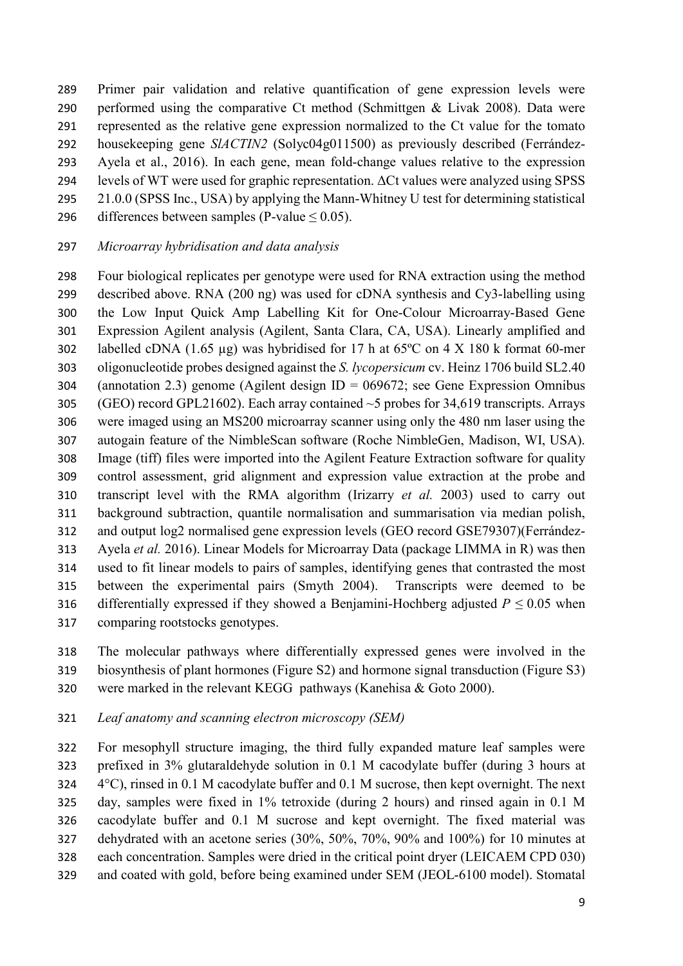Primer pair validation and relative quantification of gene expression levels were performed using the comparative Ct method (Schmittgen & Livak 2008). Data were represented as the relative gene expression normalized to the Ct value for the tomato housekeeping gene *SlACTIN2* (Solyc04g011500) as previously described (Ferrández- Ayela et al., 2016). In each gene, mean fold-change values relative to the expression levels of WT were used for graphic representation. ΔCt values were analyzed using SPSS 21.0.0 (SPSS Inc., USA) by applying the Mann-Whitney U test for determining statistical

296 differences between samples (P-value  $\leq$  0.05).

#### *Microarray hybridisation and data analysis*

 Four biological replicates per genotype were used for RNA extraction using the method described above. RNA (200 ng) was used for cDNA synthesis and Cy3-labelling using the Low Input Quick Amp Labelling Kit for One-Colour Microarray-Based Gene Expression Agilent analysis (Agilent, Santa Clara, CA, USA). Linearly amplified and labelled cDNA (1.65 µg) was hybridised for 17 h at 65ºC on 4 X 180 k format 60-mer oligonucleotide probes designed against the *S. lycopersicum* cv. Heinz 1706 build SL2.40 (annotation 2.3) genome (Agilent design ID = 069672; see Gene Expression Omnibus 305 (GEO) record GPL21602). Each array contained  $\sim$ 5 probes for 34,619 transcripts. Arrays were imaged using an MS200 microarray scanner using only the 480 nm laser using the autogain feature of the NimbleScan software (Roche NimbleGen, Madison, WI, USA). Image (tiff) files were imported into the Agilent Feature Extraction software for quality control assessment, grid alignment and expression value extraction at the probe and transcript level with the RMA algorithm (Irizarry *et al.* 2003) used to carry out background subtraction, quantile normalisation and summarisation via median polish, and output log2 normalised gene expression levels (GEO record GSE79307)(Ferrández- Ayela *et al.* 2016). Linear Models for Microarray Data (package LIMMA in R) was then used to fit linear models to pairs of samples, identifying genes that contrasted the most between the experimental pairs (Smyth 2004). Transcripts were deemed to be 316 differentially expressed if they showed a Benjamini-Hochberg adjusted  $P \le 0.05$  when comparing rootstocks genotypes.

 The molecular pathways where differentially expressed genes were involved in the biosynthesis of plant hormones (Figure S2) and hormone signal transduction (Figure S3) were marked in the relevant KEGG pathways (Kanehisa & Goto 2000).

#### *Leaf anatomy and scanning electron microscopy (SEM)*

 For mesophyll structure imaging, the third fully expanded mature leaf samples were prefixed in 3% glutaraldehyde solution in 0.1 M cacodylate buffer (during 3 hours at 4°C), rinsed in 0.1 M cacodylate buffer and 0.1 M sucrose, then kept overnight. The next day, samples were fixed in 1% tetroxide (during 2 hours) and rinsed again in 0.1 M cacodylate buffer and 0.1 M sucrose and kept overnight. The fixed material was dehydrated with an acetone series (30%, 50%, 70%, 90% and 100%) for 10 minutes at each concentration. Samples were dried in the critical point dryer (LEICAEM CPD 030) and coated with gold, before being examined under SEM (JEOL-6100 model). Stomatal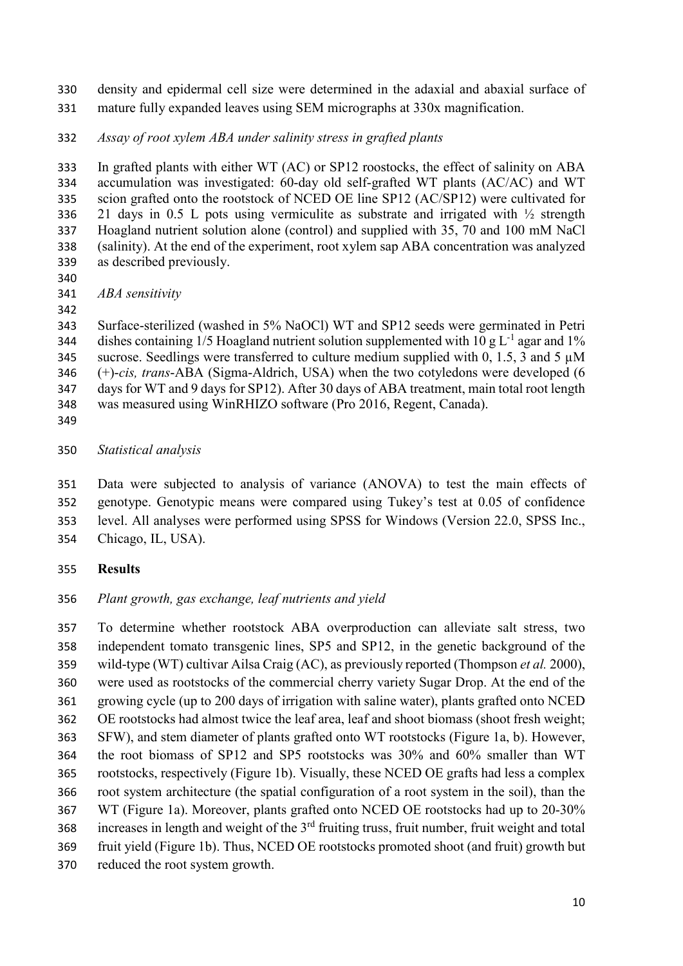- density and epidermal cell size were determined in the adaxial and abaxial surface of mature fully expanded leaves using SEM micrographs at 330x magnification.
- *Assay of root xylem ABA under salinity stress in grafted plants*

 In grafted plants with either WT (AC) or SP12 roostocks, the effect of salinity on ABA accumulation was investigated: 60-day old self-grafted WT plants (AC/AC) and WT scion grafted onto the rootstock of NCED OE line SP12 (AC/SP12) were cultivated for 21 days in 0.5 L pots using vermiculite as substrate and irrigated with ½ strength Hoagland nutrient solution alone (control) and supplied with 35, 70 and 100 mM NaCl (salinity). At the end of the experiment, root xylem sap ABA concentration was analyzed as described previously.

*ABA sensitivity* 

 Surface-sterilized (washed in 5% NaOCl) WT and SP12 seeds were germinated in Petri 344 dishes containing  $1/5$  Hoagland nutrient solution supplemented with  $10 \text{ g L}^{-1}$  agar and  $1\%$ 345 sucrose. Seedlings were transferred to culture medium supplied with 0, 1.5, 3 and 5  $\mu$ M (+)-*cis, trans*-ABA (Sigma-Aldrich, USA) when the two cotyledons were developed (6 days for WT and 9 days for SP12). After 30 days of ABA treatment, main total root length was measured using WinRHIZO software (Pro 2016, Regent, Canada).

*Statistical analysis*

 Data were subjected to analysis of variance (ANOVA) to test the main effects of genotype. Genotypic means were compared using Tukey's test at 0.05 of confidence level. All analyses were performed using SPSS for Windows (Version 22.0, SPSS Inc., Chicago, IL, USA).

**Results**

# *Plant growth, gas exchange, leaf nutrients and yield*

 To determine whether rootstock ABA overproduction can alleviate salt stress, two independent tomato transgenic lines, SP5 and SP12, in the genetic background of the wild-type (WT) cultivar Ailsa Craig (AC), as previously reported (Thompson *et al.* 2000), were used as rootstocks of the commercial cherry variety Sugar Drop. At the end of the growing cycle (up to 200 days of irrigation with saline water), plants grafted onto NCED OE rootstocks had almost twice the leaf area, leaf and shoot biomass (shoot fresh weight; SFW), and stem diameter of plants grafted onto WT rootstocks (Figure 1a, b). However, the root biomass of SP12 and SP5 rootstocks was 30% and 60% smaller than WT rootstocks, respectively (Figure 1b). Visually, these NCED OE grafts had less a complex root system architecture (the spatial configuration of a root system in the soil), than the WT (Figure 1a). Moreover, plants grafted onto NCED OE rootstocks had up to 20-30% 368 increases in length and weight of the 3<sup>rd</sup> fruiting truss, fruit number, fruit weight and total fruit yield (Figure 1b). Thus, NCED OE rootstocks promoted shoot (and fruit) growth but reduced the root system growth.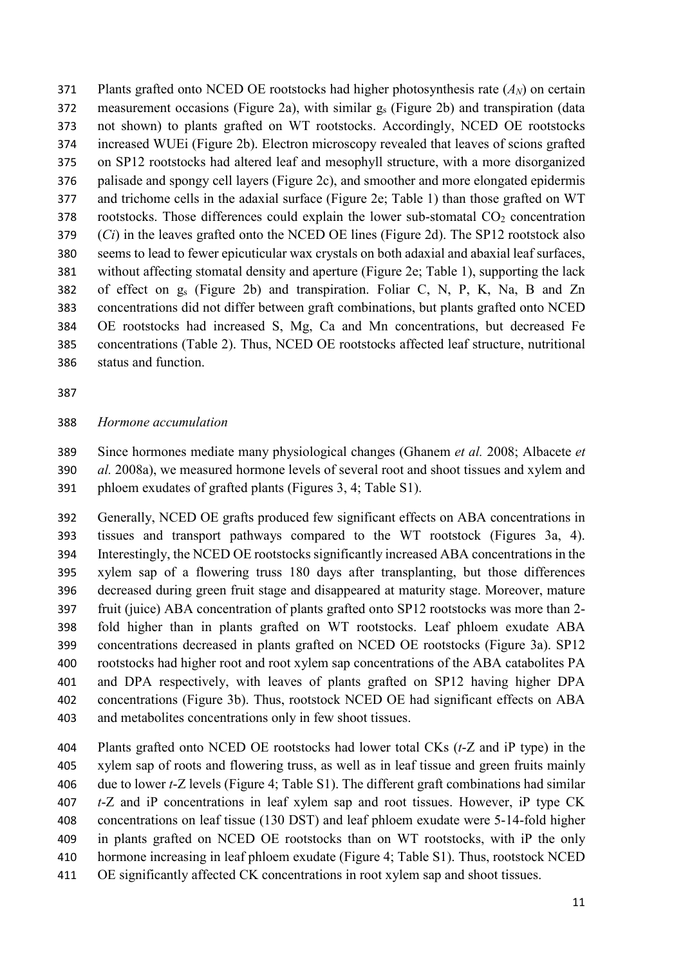Plants grafted onto NCED OE rootstocks had higher photosynthesis rate (*AN*) on certain 372 measurement occasions (Figure 2a), with similar  $g_s$  (Figure 2b) and transpiration (data not shown) to plants grafted on WT rootstocks. Accordingly, NCED OE rootstocks increased WUEi (Figure 2b). Electron microscopy revealed that leaves of scions grafted on SP12 rootstocks had altered leaf and mesophyll structure, with a more disorganized palisade and spongy cell layers (Figure 2c), and smoother and more elongated epidermis and trichome cells in the adaxial surface (Figure 2e; Table 1) than those grafted on WT rootstocks. Those differences could explain the lower sub-stomatal  $CO<sub>2</sub>$  concentration (*Ci*) in the leaves grafted onto the NCED OE lines (Figure 2d). The SP12 rootstock also seems to lead to fewer epicuticular wax crystals on both adaxial and abaxial leaf surfaces, without affecting stomatal density and aperture (Figure 2e; Table 1), supporting the lack of effect on gs (Figure 2b) and transpiration. Foliar C, N, P, K, Na, B and Zn concentrations did not differ between graft combinations, but plants grafted onto NCED OE rootstocks had increased S, Mg, Ca and Mn concentrations, but decreased Fe concentrations (Table 2). Thus, NCED OE rootstocks affected leaf structure, nutritional status and function.

#### *Hormone accumulation*

 Since hormones mediate many physiological changes (Ghanem *et al.* 2008; Albacete *et al.* 2008a), we measured hormone levels of several root and shoot tissues and xylem and phloem exudates of grafted plants (Figures 3, 4; Table S1).

 Generally, NCED OE grafts produced few significant effects on ABA concentrations in tissues and transport pathways compared to the WT rootstock (Figures 3a, 4). Interestingly, the NCED OE rootstocks significantly increased ABA concentrations in the xylem sap of a flowering truss 180 days after transplanting, but those differences decreased during green fruit stage and disappeared at maturity stage. Moreover, mature fruit (juice) ABA concentration of plants grafted onto SP12 rootstocks was more than 2- fold higher than in plants grafted on WT rootstocks. Leaf phloem exudate ABA concentrations decreased in plants grafted on NCED OE rootstocks (Figure 3a). SP12 rootstocks had higher root and root xylem sap concentrations of the ABA catabolites PA and DPA respectively, with leaves of plants grafted on SP12 having higher DPA concentrations (Figure 3b). Thus, rootstock NCED OE had significant effects on ABA and metabolites concentrations only in few shoot tissues.

 Plants grafted onto NCED OE rootstocks had lower total CKs (*t*-Z and iP type) in the xylem sap of roots and flowering truss, as well as in leaf tissue and green fruits mainly due to lower *t*-Z levels (Figure 4; Table S1). The different graft combinations had similar *t*-Z and iP concentrations in leaf xylem sap and root tissues. However, iP type CK concentrations on leaf tissue (130 DST) and leaf phloem exudate were 5-14-fold higher in plants grafted on NCED OE rootstocks than on WT rootstocks, with iP the only hormone increasing in leaf phloem exudate (Figure 4; Table S1). Thus, rootstock NCED OE significantly affected CK concentrations in root xylem sap and shoot tissues.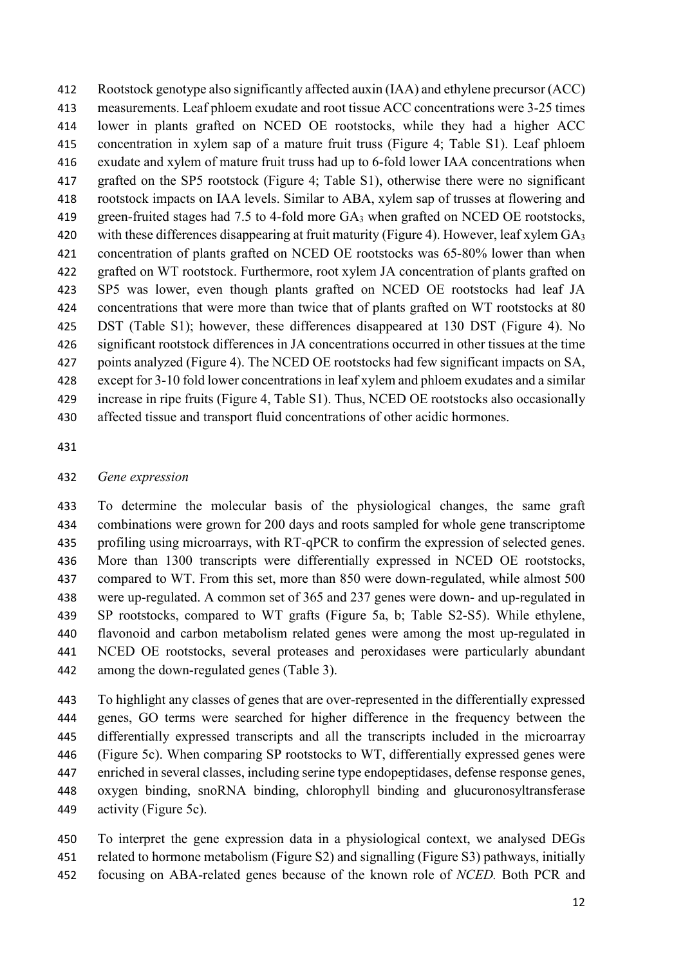Rootstock genotype also significantly affected auxin (IAA) and ethylene precursor (ACC) measurements. Leaf phloem exudate and root tissue ACC concentrations were 3-25 times lower in plants grafted on NCED OE rootstocks, while they had a higher ACC concentration in xylem sap of a mature fruit truss (Figure 4; Table S1). Leaf phloem exudate and xylem of mature fruit truss had up to 6-fold lower IAA concentrations when grafted on the SP5 rootstock (Figure 4; Table S1), otherwise there were no significant rootstock impacts on IAA levels. Similar to ABA, xylem sap of trusses at flowering and 419 green-fruited stages had 7.5 to 4-fold more GA<sub>3</sub> when grafted on NCED OE rootstocks, with these differences disappearing at fruit maturity (Figure 4). However, leaf xylem GA3 concentration of plants grafted on NCED OE rootstocks was 65-80% lower than when grafted on WT rootstock. Furthermore, root xylem JA concentration of plants grafted on SP5 was lower, even though plants grafted on NCED OE rootstocks had leaf JA 424 concentrations that were more than twice that of plants grafted on WT rootstocks at 80 DST (Table S1); however, these differences disappeared at 130 DST (Figure 4). No significant rootstock differences in JA concentrations occurred in other tissues at the time points analyzed (Figure 4). The NCED OE rootstocks had few significant impacts on SA, except for 3-10 fold lower concentrations in leaf xylem and phloem exudates and a similar increase in ripe fruits (Figure 4, Table S1). Thus, NCED OE rootstocks also occasionally affected tissue and transport fluid concentrations of other acidic hormones.

#### *Gene expression*

 To determine the molecular basis of the physiological changes, the same graft combinations were grown for 200 days and roots sampled for whole gene transcriptome profiling using microarrays, with RT-qPCR to confirm the expression of selected genes. More than 1300 transcripts were differentially expressed in NCED OE rootstocks, compared to WT. From this set, more than 850 were down-regulated, while almost 500 were up-regulated. A common set of 365 and 237 genes were down- and up-regulated in SP rootstocks, compared to WT grafts (Figure 5a, b; Table S2-S5). While ethylene, flavonoid and carbon metabolism related genes were among the most up-regulated in NCED OE rootstocks, several proteases and peroxidases were particularly abundant among the down-regulated genes (Table 3).

 To highlight any classes of genes that are over-represented in the differentially expressed genes, GO terms were searched for higher difference in the frequency between the differentially expressed transcripts and all the transcripts included in the microarray (Figure 5c). When comparing SP rootstocks to WT, differentially expressed genes were enriched in several classes, including serine type endopeptidases, defense response genes, oxygen binding, snoRNA binding, chlorophyll binding and glucuronosyltransferase activity (Figure 5c).

 To interpret the gene expression data in a physiological context, we analysed DEGs related to hormone metabolism (Figure S2) and signalling (Figure S3) pathways, initially focusing on ABA-related genes because of the known role of *NCED.* Both PCR and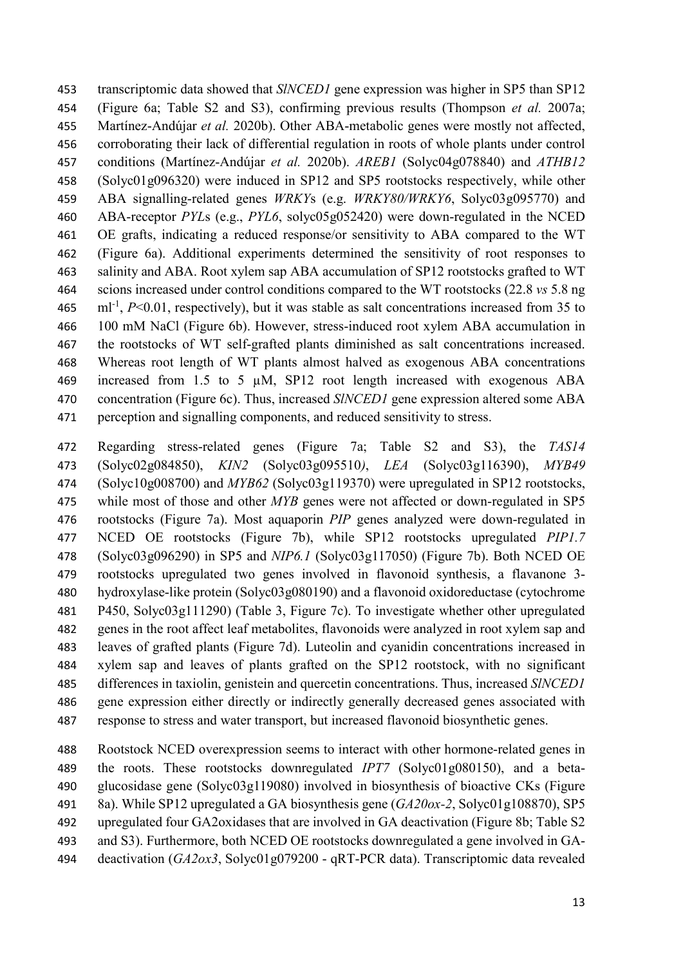transcriptomic data showed that *SlNCED1* gene expression was higher in SP5 than SP12 (Figure 6a; Table S2 and S3), confirming previous results (Thompson *et al.* 2007a; Martínez-Andújar *et al.* 2020b). Other ABA-metabolic genes were mostly not affected, corroborating their lack of differential regulation in roots of whole plants under control conditions (Martínez-Andújar *et al.* 2020b). *AREB1* (Solyc04g078840) and *ATHB12* (Solyc01g096320) were induced in SP12 and SP5 rootstocks respectively, while other ABA signalling-related genes *WRKY*s (e.g. *WRKY80/WRKY6*, Solyc03g095770) and ABA-receptor *PYL*s (e.g., *PYL6*, solyc05g052420) were down-regulated in the NCED OE grafts, indicating a reduced response/or sensitivity to ABA compared to the WT (Figure 6a). Additional experiments determined the sensitivity of root responses to salinity and ABA. Root xylem sap ABA accumulation of SP12 rootstocks grafted to WT scions increased under control conditions compared to the WT rootstocks (22.8 *vs* 5.8 ng  $\text{m}^{-1}$ ,  $P \le 0.01$ , respectively), but it was stable as salt concentrations increased from 35 to 100 mM NaCl (Figure 6b). However, stress-induced root xylem ABA accumulation in the rootstocks of WT self-grafted plants diminished as salt concentrations increased. Whereas root length of WT plants almost halved as exogenous ABA concentrations increased from 1.5 to 5 µM, SP12 root length increased with exogenous ABA concentration (Figure 6c). Thus, increased *SlNCED1* gene expression altered some ABA perception and signalling components, and reduced sensitivity to stress.

 Regarding stress-related genes (Figure 7a; Table S2 and S3), the *TAS14* (Solyc02g084850), *KIN2* (Solyc03g095510*)*, *LEA* (Solyc03g116390), *MYB49* (Solyc10g008700) and *MYB62* (Solyc03g119370) were upregulated in SP12 rootstocks, while most of those and other *MYB* genes were not affected or down-regulated in SP5 rootstocks (Figure 7a). Most aquaporin *PIP* genes analyzed were down-regulated in NCED OE rootstocks (Figure 7b), while SP12 rootstocks upregulated *PIP1.7* (Solyc03g096290) in SP5 and *NIP6.1* (Solyc03g117050) (Figure 7b). Both NCED OE rootstocks upregulated two genes involved in flavonoid synthesis, a flavanone 3- hydroxylase-like protein (Solyc03g080190) and a flavonoid oxidoreductase (cytochrome P450, Solyc03g111290) (Table 3, Figure 7c). To investigate whether other upregulated genes in the root affect leaf metabolites, flavonoids were analyzed in root xylem sap and leaves of grafted plants (Figure 7d). Luteolin and cyanidin concentrations increased in xylem sap and leaves of plants grafted on the SP12 rootstock, with no significant differences in taxiolin, genistein and quercetin concentrations. Thus, increased *SlNCED1* gene expression either directly or indirectly generally decreased genes associated with response to stress and water transport, but increased flavonoid biosynthetic genes.

 Rootstock NCED overexpression seems to interact with other hormone-related genes in the roots. These rootstocks downregulated *IPT7* (Solyc01g080150), and a beta- glucosidase gene (Solyc03g119080) involved in biosynthesis of bioactive CKs (Figure 8a). While SP12 upregulated a GA biosynthesis gene (*GA20ox-2*, Solyc01g108870), SP5 upregulated four GA2oxidases that are involved in GA deactivation (Figure 8b; Table S2 and S3). Furthermore, both NCED OE rootstocks downregulated a gene involved in GA-deactivation (*GA2ox3*, Solyc01g079200 - qRT-PCR data). Transcriptomic data revealed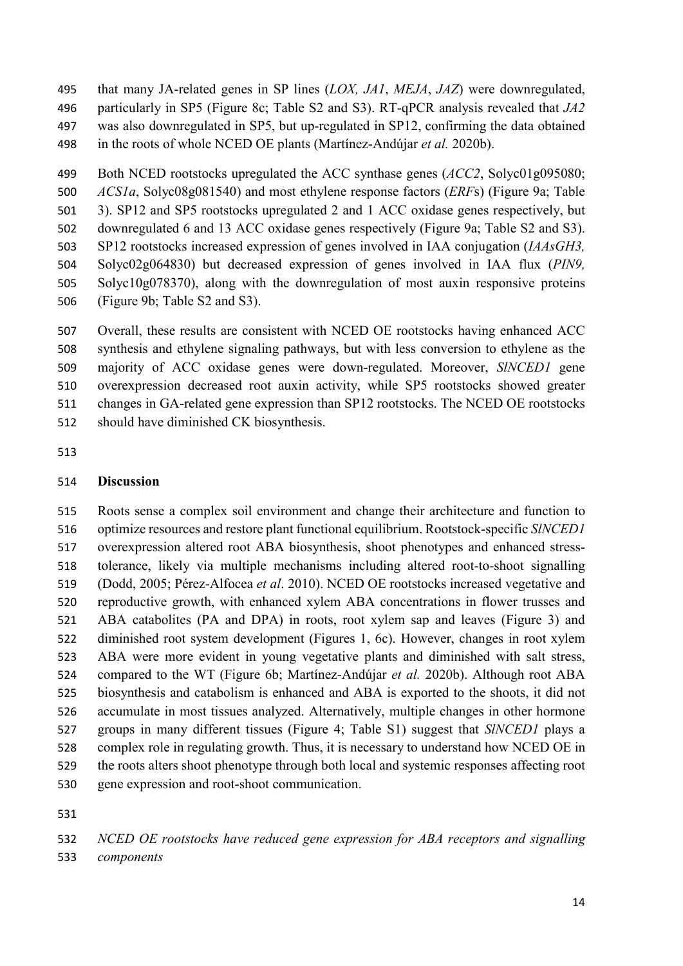that many JA-related genes in SP lines (*LOX, JA1*, *MEJA*, *JAZ*) were downregulated, particularly in SP5 (Figure 8c; Table S2 and S3). RT-qPCR analysis revealed that *JA2* was also downregulated in SP5, but up-regulated in SP12, confirming the data obtained in the roots of whole NCED OE plants (Martínez-Andújar *et al.* 2020b).

 Both NCED rootstocks upregulated the ACC synthase genes (*ACC2*, Solyc01g095080; *ACS1a*, Solyc08g081540) and most ethylene response factors (*ERF*s) (Figure 9a; Table 3). SP12 and SP5 rootstocks upregulated 2 and 1 ACC oxidase genes respectively, but downregulated 6 and 13 ACC oxidase genes respectively (Figure 9a; Table S2 and S3). SP12 rootstocks increased expression of genes involved in IAA conjugation (*IAAsGH3,*  Solyc02g064830) but decreased expression of genes involved in IAA flux (*PIN9,*  Solyc10g078370), along with the downregulation of most auxin responsive proteins (Figure 9b; Table S2 and S3).

 Overall, these results are consistent with NCED OE rootstocks having enhanced ACC synthesis and ethylene signaling pathways, but with less conversion to ethylene as the majority of ACC oxidase genes were down-regulated. Moreover, *SlNCED1* gene overexpression decreased root auxin activity, while SP5 rootstocks showed greater changes in GA-related gene expression than SP12 rootstocks. The NCED OE rootstocks should have diminished CK biosynthesis.

### **Discussion**

 Roots sense a complex soil environment and change their architecture and function to optimize resources and restore plant functional equilibrium. Rootstock-specific *SlNCED1* overexpression altered root ABA biosynthesis, shoot phenotypes and enhanced stress- tolerance, likely via multiple mechanisms including altered root-to-shoot signalling (Dodd, 2005; Pérez-Alfocea *et al*. 2010). NCED OE rootstocks increased vegetative and reproductive growth, with enhanced xylem ABA concentrations in flower trusses and ABA catabolites (PA and DPA) in roots, root xylem sap and leaves (Figure 3) and diminished root system development (Figures 1, 6c). However, changes in root xylem ABA were more evident in young vegetative plants and diminished with salt stress, compared to the WT (Figure 6b; Martínez-Andújar *et al.* 2020b). Although root ABA biosynthesis and catabolism is enhanced and ABA is exported to the shoots, it did not accumulate in most tissues analyzed. Alternatively, multiple changes in other hormone groups in many different tissues (Figure 4; Table S1) suggest that *SlNCED1* plays a complex role in regulating growth. Thus, it is necessary to understand how NCED OE in the roots alters shoot phenotype through both local and systemic responses affecting root gene expression and root-shoot communication.

*components*

*NCED OE rootstocks have reduced gene expression for ABA receptors and signalling*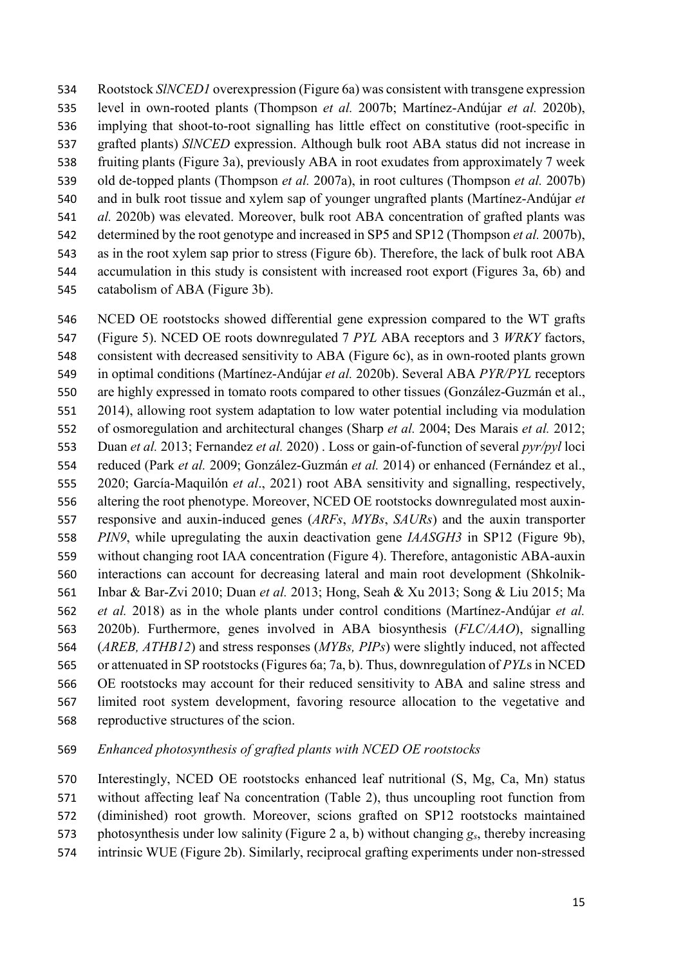Rootstock *SlNCED1* overexpression (Figure 6a) was consistent with transgene expression level in own-rooted plants (Thompson *et al.* 2007b; Martínez-Andújar *et al.* 2020b), implying that shoot-to-root signalling has little effect on constitutive (root-specific in grafted plants) *SlNCED* expression. Although bulk root ABA status did not increase in fruiting plants (Figure 3a), previously ABA in root exudates from approximately 7 week old de-topped plants (Thompson *et al.* 2007a), in root cultures (Thompson *et al.* 2007b) and in bulk root tissue and xylem sap of younger ungrafted plants (Martínez-Andújar *et al.* 2020b) was elevated. Moreover, bulk root ABA concentration of grafted plants was determined by the root genotype and increased in SP5 and SP12 (Thompson *et al.* 2007b), as in the root xylem sap prior to stress (Figure 6b). Therefore, the lack of bulk root ABA accumulation in this study is consistent with increased root export (Figures 3a, 6b) and catabolism of ABA (Figure 3b).

 NCED OE rootstocks showed differential gene expression compared to the WT grafts (Figure 5). NCED OE roots downregulated 7 *PYL* ABA receptors and 3 *WRKY* factors, consistent with decreased sensitivity to ABA (Figure 6c), as in own-rooted plants grown in optimal conditions (Martínez-Andújar *et al.* 2020b). Several ABA *PYR/PYL* receptors are highly expressed in tomato roots compared to other tissues (González-Guzmán et al., 2014), allowing root system adaptation to low water potential including via modulation of osmoregulation and architectural changes (Sharp *et al.* 2004; Des Marais *et al.* 2012; Duan *et al.* 2013; Fernandez *et al.* 2020) . Loss or gain-of-function of several *pyr/pyl* loci reduced (Park *et al.* 2009; González-Guzmán *et al.* 2014) or enhanced (Fernández et al., 2020; García-Maquilón *et al*., 2021) root [ABA](https://www.ncbi.nlm.nih.gov/pmc/articles/PMC3561030/#def1) sensitivity and signalling, respectively, altering the root phenotype. Moreover, NCED OE rootstocks downregulated most auxin- responsive and auxin-induced genes (*ARFs*, *MYBs*, *SAURs*) and the auxin transporter *PIN9*, while upregulating the auxin deactivation gene *IAASGH3* in SP12 (Figure 9b), without changing root IAA concentration (Figure 4). Therefore, antagonistic ABA-auxin interactions can account for decreasing lateral and main root development (Shkolnik- Inbar & Bar-Zvi 2010; Duan *et al.* 2013; Hong, Seah & Xu 2013; Song & Liu 2015; Ma *et al.* 2018) as in the whole plants under control conditions (Martínez-Andújar *et al.* 2020b). Furthermore, genes involved in ABA biosynthesis (*FLC/AAO*), signalling (*AREB, ATHB12*) and stress responses (*MYBs, PIPs*) were slightly induced, not affected or attenuated in SP rootstocks(Figures 6a; 7a, b). Thus, downregulation of *PYL*s in NCED OE rootstocks may account for their reduced sensitivity to ABA and saline stress and limited root system development, favoring resource allocation to the vegetative and reproductive structures of the scion.

*Enhanced photosynthesis of grafted plants with NCED OE rootstocks* 

 Interestingly, NCED OE rootstocks enhanced leaf nutritional (S, Mg, Ca, Mn) status without affecting leaf Na concentration (Table 2), thus uncoupling root function from (diminished) root growth. Moreover, scions grafted on SP12 rootstocks maintained photosynthesis under low salinity (Figure 2 a, b) without changing *gs*, thereby increasing

intrinsic WUE (Figure 2b). Similarly, reciprocal grafting experiments under non-stressed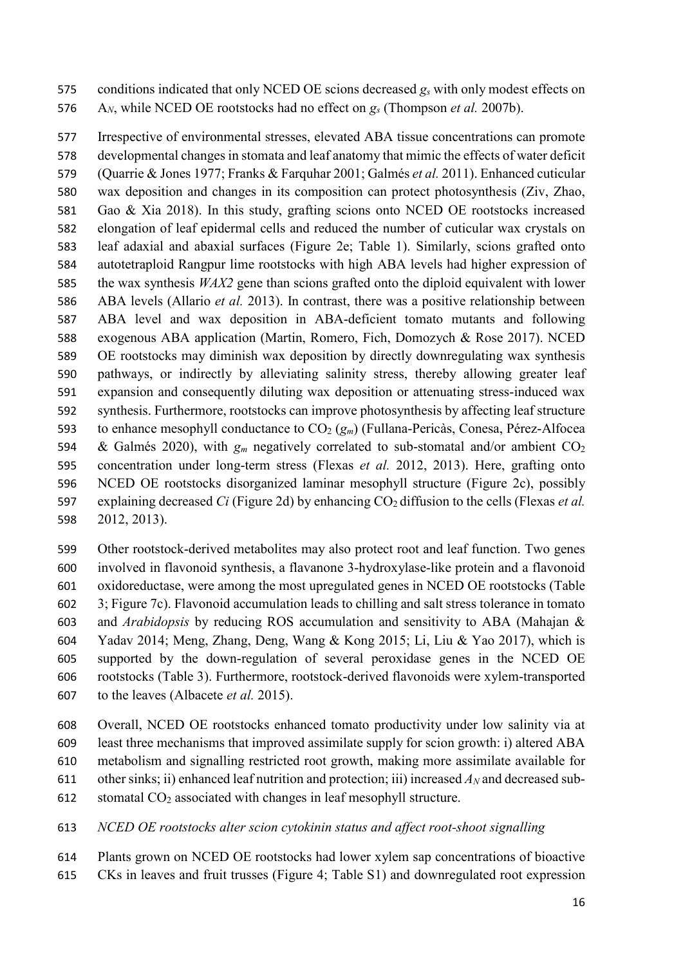conditions indicated that only NCED OE scions decreased *gs* with only modest effects on A*N*, while NCED OE rootstocks had no effect on *gs* (Thompson *et al.* 2007b).

 Irrespective of environmental stresses, elevated ABA tissue concentrations can promote developmental changes in stomata and leaf anatomy that mimic the effects of water deficit (Quarrie & Jones 1977; Franks & Farquhar 2001; Galmés *et al.* 2011). Enhanced cuticular wax deposition and changes in its composition can protect photosynthesis (Ziv, Zhao, Gao & Xia 2018). In this study, grafting scions onto NCED OE rootstocks increased elongation of leaf epidermal cells and reduced the number of cuticular wax crystals on leaf adaxial and abaxial surfaces (Figure 2e; Table 1). Similarly, scions grafted onto autotetraploid Rangpur lime rootstocks with high ABA levels had higher expression of the wax synthesis *WAX2* gene than scions grafted onto the diploid equivalent with lower ABA levels (Allario *et al.* 2013). In contrast, there was a positive relationship between ABA level and wax deposition in ABA-deficient tomato mutants and following exogenous ABA application (Martin, Romero, Fich, Domozych & Rose 2017). NCED OE rootstocks may diminish wax deposition by directly downregulating wax synthesis pathways, or indirectly by alleviating salinity stress, thereby allowing greater leaf expansion and consequently diluting wax deposition or attenuating stress-induced wax synthesis. Furthermore, rootstocks can improve photosynthesis by affecting leaf structure to enhance mesophyll conductance to CO2 (*gm*) (Fullana-Pericàs, Conesa, Pérez-Alfocea 594 & Galmés 2020), with  $g_m$  negatively correlated to sub-stomatal and/or ambient  $CO_2$  concentration under long-term stress (Flexas *et al.* 2012, 2013). Here, grafting onto NCED OE rootstocks disorganized laminar mesophyll structure (Figure 2c), possibly explaining decreased *Ci* (Figure 2d) by enhancing CO2 diffusion to the cells (Flexas *et al.* 2012, 2013).

 Other rootstock-derived metabolites may also protect root and leaf function. Two genes involved in flavonoid synthesis, a flavanone 3-hydroxylase-like protein and a flavonoid oxidoreductase, were among the most upregulated genes in NCED OE rootstocks (Table 3; Figure 7c). Flavonoid accumulation leads to chilling and salt stress tolerance in tomato and *Arabidopsis* by reducing ROS accumulation and sensitivity to ABA (Mahajan & Yadav 2014; Meng, Zhang, Deng, Wang & Kong 2015; Li, Liu & Yao 2017), which is supported by the down-regulation of several peroxidase genes in the NCED OE rootstocks (Table 3). Furthermore, rootstock-derived flavonoids were xylem-transported to the leaves (Albacete *et al.* 2015).

 Overall, NCED OE rootstocks enhanced tomato productivity under low salinity via at least three mechanisms that improved assimilate supply for scion growth: i) altered ABA metabolism and signalling restricted root growth, making more assimilate available for 611 other sinks; ii) enhanced leaf nutrition and protection; iii) increased  $A_N$  and decreased sub-stomatal CO2 associated with changes in leaf mesophyll structure.

*NCED OE rootstocks alter scion cytokinin status and affect root-shoot signalling*

Plants grown on NCED OE rootstocks had lower xylem sap concentrations of bioactive

CKs in leaves and fruit trusses (Figure 4; Table S1) and downregulated root expression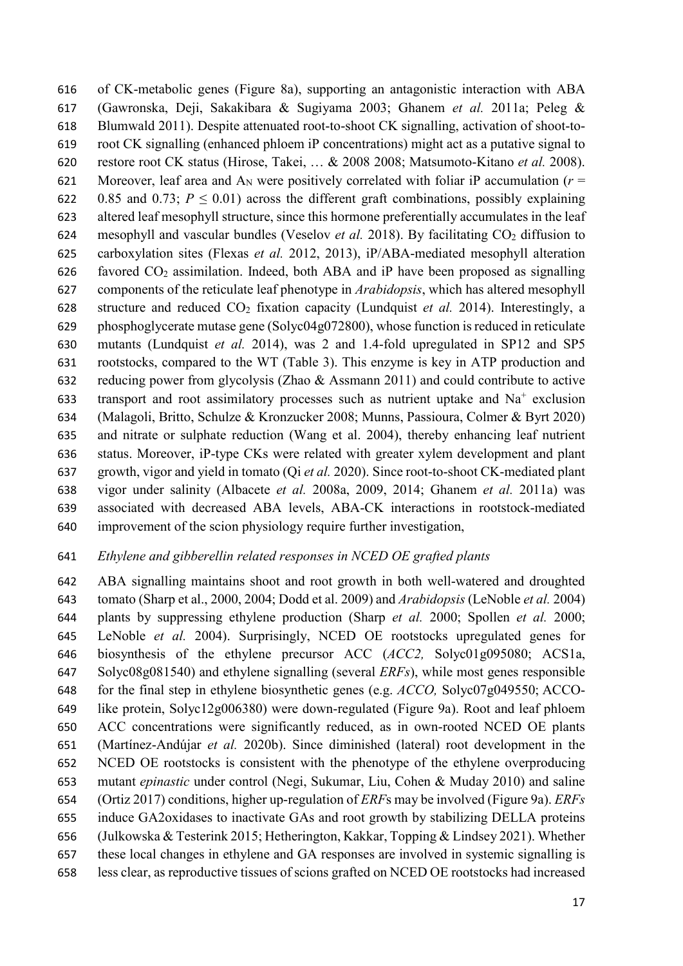of CK-metabolic genes (Figure 8a), supporting an antagonistic interaction with ABA (Gawronska, Deji, Sakakibara & Sugiyama 2003; Ghanem *et al.* 2011a; Peleg & Blumwald 2011). Despite attenuated root-to-shoot CK signalling, activation of shoot-to- root CK signalling (enhanced phloem iP concentrations) might act as a putative signal to restore root CK status (Hirose, Takei, … & 2008 2008; Matsumoto-Kitano *et al.* 2008). 621 Moreover, leaf area and A<sub>N</sub> were positively correlated with foliar iP accumulation ( $r =$ 622 0.85 and 0.73;  $P \le 0.01$ ) across the different graft combinations, possibly explaining altered leaf mesophyll structure, since this hormone preferentially accumulates in the leaf mesophyll and vascular bundles (Veselov *et al.* 2018). By facilitating CO2 diffusion to carboxylation sites (Flexas *et al.* 2012, 2013), iP/ABA-mediated mesophyll alteration 626 favored  $CO<sub>2</sub>$  assimilation. Indeed, both ABA and iP have been proposed as signalling components of the reticulate leaf phenotype in *Arabidopsis*, which has altered mesophyll structure and reduced CO2 fixation capacity (Lundquist *et al.* 2014). Interestingly, a phosphoglycerate mutase gene (Solyc04g072800), whose function is reduced in reticulate mutants (Lundquist *et al.* 2014), was 2 and 1.4-fold upregulated in SP12 and SP5 rootstocks, compared to the WT (Table 3). This enzyme is key in ATP production and reducing power from glycolysis (Zhao & Assmann 2011) and could contribute to active 633 transport and root assimilatory processes such as nutrient uptake and  $Na<sup>+</sup>$  exclusion (Malagoli, Britto, Schulze & Kronzucker 2008; Munns, Passioura, Colmer & Byrt 2020) and nitrate or sulphate reduction (Wang et al. 2004), thereby enhancing leaf nutrient status. Moreover, iP-type CKs were related with greater xylem development and plant growth, vigor and yield in tomato (Qi *et al.* 2020). Since root-to-shoot CK-mediated plant vigor under salinity (Albacete *et al.* 2008a, 2009, 2014; Ghanem *et al.* 2011a) was associated with decreased ABA levels, ABA-CK interactions in rootstock-mediated improvement of the scion physiology require further investigation,

## *Ethylene and gibberellin related responses in NCED OE grafted plants*

 ABA signalling maintains shoot and root growth in both well-watered and droughted tomato (Sharp et al., 2000, 2004; Dodd et al. 2009) and *Arabidopsis* (LeNoble *et al.* 2004) plants by suppressing ethylene production (Sharp *et al.* 2000; Spollen *et al.* 2000; LeNoble *et al.* 2004). Surprisingly, NCED OE rootstocks upregulated genes for biosynthesis of the ethylene precursor ACC (*ACC2,* Solyc01g095080; ACS1a, Solyc08g081540) and ethylene signalling (several *ERFs*), while most genes responsible for the final step in ethylene biosynthetic genes (e.g. *ACCO,* Solyc07g049550; ACCO- like protein, Solyc12g006380) were down-regulated (Figure 9a). Root and leaf phloem ACC concentrations were significantly reduced, as in own-rooted NCED OE plants (Martínez-Andújar *et al.* 2020b). Since diminished (lateral) root development in the NCED OE rootstocks is consistent with the phenotype of the ethylene overproducing mutant *epinastic* under control (Negi, Sukumar, Liu, Cohen & Muday 2010) and saline (Ortiz 2017) conditions, higher up-regulation of *ERF*s may be involved (Figure 9a). *ERFs* induce GA2oxidases to inactivate GAs and root growth by stabilizing DELLA proteins (Julkowska & Testerink 2015; Hetherington, Kakkar, Topping & Lindsey 2021). Whether these local changes in ethylene and GA responses are involved in systemic signalling is less clear, as reproductive tissues of scions grafted on NCED OE rootstocks had increased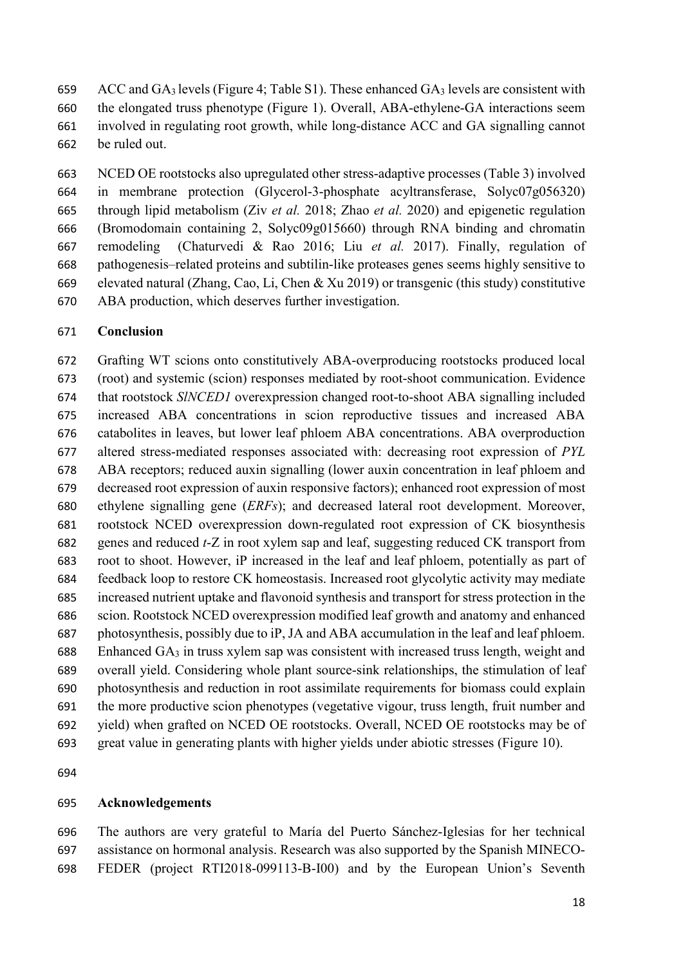659 ACC and  $GA_3$  levels (Figure 4; Table S1). These enhanced  $GA_3$  levels are consistent with the elongated truss phenotype (Figure 1). Overall, ABA-ethylene-GA interactions seem involved in regulating root growth, while long-distance ACC and GA signalling cannot be ruled out.

 NCED OE rootstocks also upregulated other stress-adaptive processes (Table 3) involved in membrane protection (Glycerol-3-phosphate acyltransferase, Solyc07g056320) through lipid metabolism (Ziv *et al.* 2018; Zhao *et al.* 2020) and epigenetic regulation (Bromodomain containing 2, Solyc09g015660) through RNA binding and chromatin remodeling (Chaturvedi & Rao 2016; Liu *et al.* 2017). Finally, regulation of pathogenesis–related proteins and subtilin-like proteases genes seems highly sensitive to elevated natural (Zhang, Cao, Li, Chen & Xu 2019) or transgenic (this study) constitutive ABA production, which deserves further investigation.

## **Conclusion**

 Grafting WT scions onto constitutively ABA-overproducing rootstocks produced local (root) and systemic (scion) responses mediated by root-shoot communication. Evidence that rootstock *SlNCED1* overexpression changed root-to-shoot ABA signalling included increased ABA concentrations in scion reproductive tissues and increased ABA catabolites in leaves, but lower leaf phloem ABA concentrations. ABA overproduction altered stress-mediated responses associated with: decreasing root expression of *PYL* ABA receptors; reduced auxin signalling (lower auxin concentration in leaf phloem and decreased root expression of auxin responsive factors); enhanced root expression of most ethylene signalling gene (*ERFs*); and decreased lateral root development. Moreover, rootstock NCED overexpression down-regulated root expression of CK biosynthesis genes and reduced *t*-Z in root xylem sap and leaf, suggesting reduced CK transport from root to shoot. However, iP increased in the leaf and leaf phloem, potentially as part of feedback loop to restore CK homeostasis. Increased root glycolytic activity may mediate increased nutrient uptake and flavonoid synthesis and transport for stress protection in the scion. Rootstock NCED overexpression modified leaf growth and anatomy and enhanced photosynthesis, possibly due to iP, JA and ABA accumulation in the leaf and leaf phloem. Enhanced GA3 in truss xylem sap was consistent with increased truss length, weight and overall yield. Considering whole plant source-sink relationships, the stimulation of leaf photosynthesis and reduction in root assimilate requirements for biomass could explain the more productive scion phenotypes (vegetative vigour, truss length, fruit number and yield) when grafted on NCED OE rootstocks. Overall, NCED OE rootstocks may be of great value in generating plants with higher yields under abiotic stresses (Figure 10).

## **Acknowledgements**

 The authors are very grateful to María del Puerto Sánchez-Iglesias for her technical assistance on hormonal analysis. Research was also supported by the Spanish MINECO-FEDER (project RTI2018-099113-B-I00) and by the European Union's Seventh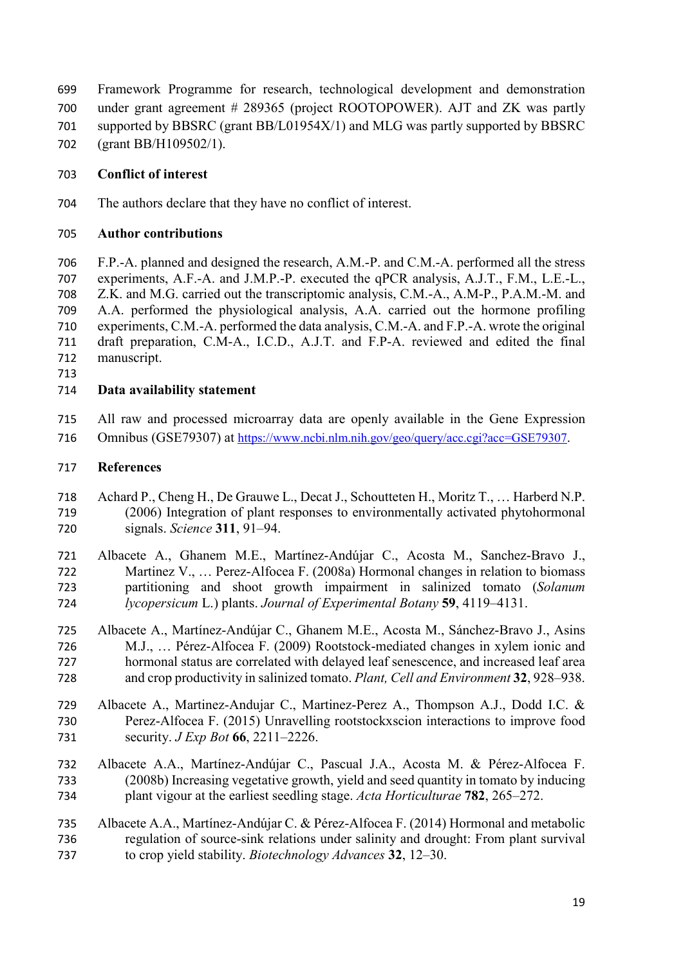Framework Programme for research, technological development and demonstration under grant agreement # 289365 (project ROOTOPOWER). AJT and ZK was partly supported by BBSRC (grant BB/L01954X/1) and MLG was partly supported by BBSRC (grant BB/H109502/1).

# **Conflict of interest**

The authors declare that they have no conflict of interest.

## **Author contributions**

 F.P.-A. planned and designed the research, A.M.-P. and C.M.-A. performed all the stress experiments, A.F.-A. and J.M.P.-P. executed the qPCR analysis, A.J.T., F.M., L.E.-L., Z.K. and M.G. carried out the transcriptomic analysis, C.M.-A., A.M-P., P.A.M.-M. and A.A. performed the physiological analysis, A.A. carried out the hormone profiling experiments, C.M.-A. performed the data analysis, C.M.-A. and F.P.-A. wrote the original draft preparation, C.M-A., I.C.D., A.J.T. and F.P-A. reviewed and edited the final manuscript.

## **Data availability statement**

 All raw and processed microarray data are openly available in the Gene Expression Omnibus (GSE79307) at [https://www.ncbi.nlm.nih.gov/geo/query/acc.cgi?acc=GSE79307.](https://www.ncbi.nlm.nih.gov/geo/query/acc.cgi?acc=GSE79307)

### **References**

- Achard P., Cheng H., De Grauwe L., Decat J., Schoutteten H., Moritz T., … Harberd N.P. (2006) Integration of plant responses to environmentally activated phytohormonal signals. *Science* **311**, 91–94.
- Albacete A., Ghanem M.E., Martínez-Andújar C., Acosta M., Sanchez-Bravo J., Martinez V., … Perez-Alfocea F. (2008a) Hormonal changes in relation to biomass partitioning and shoot growth impairment in salinized tomato (*Solanum lycopersicum* L.) plants. *Journal of Experimental Botany* **59**, 4119–4131.
- Albacete A., Martínez-Andújar C., Ghanem M.E., Acosta M., Sánchez-Bravo J., Asins M.J., … Pérez-Alfocea F. (2009) Rootstock-mediated changes in xylem ionic and hormonal status are correlated with delayed leaf senescence, and increased leaf area and crop productivity in salinized tomato. *Plant, Cell and Environment* **32**, 928–938.
- Albacete A., Martinez-Andujar C., Martinez-Perez A., Thompson A.J., Dodd I.C. & Perez-Alfocea F. (2015) Unravelling rootstockxscion interactions to improve food security. *J Exp Bot* **66**, 2211–2226.
- Albacete A.A., Martínez-Andújar C., Pascual J.A., Acosta M. & Pérez-Alfocea F. (2008b) Increasing vegetative growth, yield and seed quantity in tomato by inducing plant vigour at the earliest seedling stage. *Acta Horticulturae* **782**, 265–272.
- Albacete A.A., Martínez-Andújar C. & Pérez-Alfocea F. (2014) Hormonal and metabolic regulation of source-sink relations under salinity and drought: From plant survival to crop yield stability. *Biotechnology Advances* **32**, 12–30.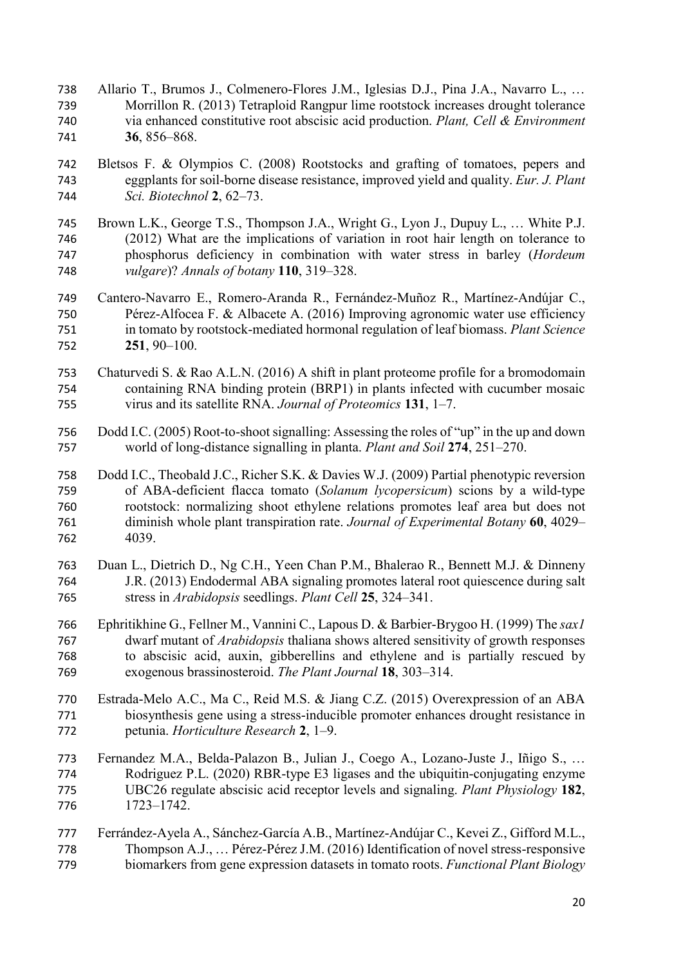- Allario T., Brumos J., Colmenero-Flores J.M., Iglesias D.J., Pina J.A., Navarro L., … Morrillon R. (2013) Tetraploid Rangpur lime rootstock increases drought tolerance via enhanced constitutive root abscisic acid production. *Plant, Cell & Environment* **36**, 856–868.
- Bletsos F. & Olympios C. (2008) Rootstocks and grafting of tomatoes, pepers and eggplants for soil-borne disease resistance, improved yield and quality. *Eur. J. Plant Sci. Biotechnol* **2**, 62–73.
- Brown L.K., George T.S., Thompson J.A., Wright G., Lyon J., Dupuy L., … White P.J. (2012) What are the implications of variation in root hair length on tolerance to phosphorus deficiency in combination with water stress in barley (*Hordeum vulgare*)? *Annals of botany* **110**, 319–328.
- Cantero-Navarro E., Romero-Aranda R., Fernández-Muñoz R., Martínez-Andújar C., Pérez-Alfocea F. & Albacete A. (2016) Improving agronomic water use efficiency in tomato by rootstock-mediated hormonal regulation of leaf biomass. *Plant Science* **251**, 90–100.
- Chaturvedi S. & Rao A.L.N. (2016) A shift in plant proteome profile for a bromodomain containing RNA binding protein (BRP1) in plants infected with cucumber mosaic virus and its satellite RNA. *Journal of Proteomics* **131**, 1–7.
- Dodd I.C. (2005) Root-to-shoot signalling: Assessing the roles of "up" in the up and down world of long-distance signalling in planta. *Plant and Soil* **274**, 251–270.
- Dodd I.C., Theobald J.C., Richer S.K. & Davies W.J. (2009) Partial phenotypic reversion of ABA-deficient flacca tomato (*Solanum lycopersicum*) scions by a wild-type rootstock: normalizing shoot ethylene relations promotes leaf area but does not diminish whole plant transpiration rate. *Journal of Experimental Botany* **60**, 4029– 4039.
- Duan L., Dietrich D., Ng C.H., Yeen Chan P.M., Bhalerao R., Bennett M.J. & Dinneny J.R. (2013) Endodermal ABA signaling promotes lateral root quiescence during salt stress in *Arabidopsis* seedlings. *Plant Cell* **25**, 324–341.
- Ephritikhine G., Fellner M., Vannini C., Lapous D. & Barbier-Brygoo H. (1999) The *sax1* dwarf mutant of *Arabidopsis* thaliana shows altered sensitivity of growth responses to abscisic acid, auxin, gibberellins and ethylene and is partially rescued by exogenous brassinosteroid. *The Plant Journal* **18**, 303–314.
- Estrada-Melo A.C., Ma C., Reid M.S. & Jiang C.Z. (2015) Overexpression of an ABA biosynthesis gene using a stress-inducible promoter enhances drought resistance in petunia. *Horticulture Research* **2**, 1–9.
- Fernandez M.A., Belda-Palazon B., Julian J., Coego A., Lozano-Juste J., Iñigo S., … Rodriguez P.L. (2020) RBR-type E3 ligases and the ubiquitin-conjugating enzyme UBC26 regulate abscisic acid receptor levels and signaling. *Plant Physiology* **182**, 1723–1742.
- Ferrández-Ayela A., Sánchez-García A.B., Martínez-Andújar C., Kevei Z., Gifford M.L., Thompson A.J., … Pérez-Pérez J.M. (2016) Identification of novel stress-responsive biomarkers from gene expression datasets in tomato roots. *Functional Plant Biology*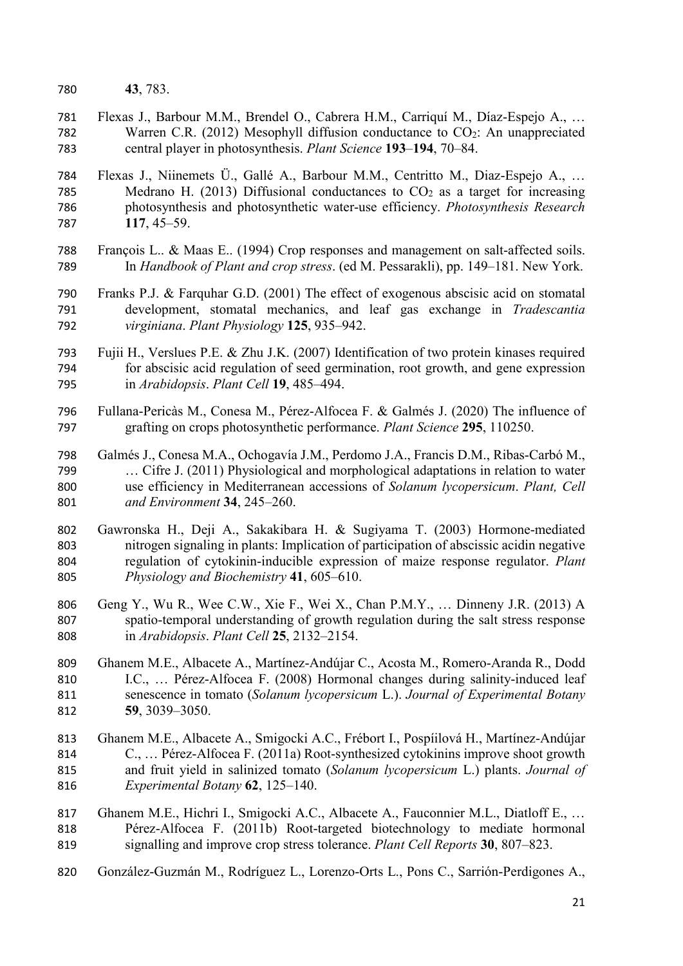- **43**, 783.
- Flexas J., Barbour M.M., Brendel O., Cabrera H.M., Carriquí M., Díaz-Espejo A., … 782 Warren C.R. (2012) Mesophyll diffusion conductance to CO<sub>2</sub>: An unappreciated central player in photosynthesis. *Plant Science* **193**–**194**, 70–84.
- Flexas J., Niinemets Ü., Gallé A., Barbour M.M., Centritto M., Diaz-Espejo A., … 785 Medrano H. (2013) Diffusional conductances to  $CO<sub>2</sub>$  as a target for increasing photosynthesis and photosynthetic water-use efficiency. *Photosynthesis Research* **117**, 45–59.
- François L.. & Maas E.. (1994) Crop responses and management on salt-affected soils. In *Handbook of Plant and crop stress*. (ed M. Pessarakli), pp. 149–181. New York.
- Franks P.J. & Farquhar G.D. (2001) The effect of exogenous abscisic acid on stomatal development, stomatal mechanics, and leaf gas exchange in *Tradescantia virginiana*. *Plant Physiology* **125**, 935–942.
- Fujii H., Verslues P.E. & Zhu J.K. (2007) Identification of two protein kinases required for abscisic acid regulation of seed germination, root growth, and gene expression in *Arabidopsis*. *Plant Cell* **19**, 485–494.
- Fullana-Pericàs M., Conesa M., Pérez-Alfocea F. & Galmés J. (2020) The influence of grafting on crops photosynthetic performance. *Plant Science* **295**, 110250.
- Galmés J., Conesa M.A., Ochogavía J.M., Perdomo J.A., Francis D.M., Ribas-Carbó M., … Cifre J. (2011) Physiological and morphological adaptations in relation to water use efficiency in Mediterranean accessions of *Solanum lycopersicum*. *Plant, Cell and Environment* **34**, 245–260.
- Gawronska H., Deji A., Sakakibara H. & Sugiyama T. (2003) Hormone-mediated nitrogen signaling in plants: Implication of participation of abscissic acidin negative regulation of cytokinin-inducible expression of maize response regulator. *Plant Physiology and Biochemistry* **41**, 605–610.
- Geng Y., Wu R., Wee C.W., Xie F., Wei X., Chan P.M.Y., … Dinneny J.R. (2013) A spatio-temporal understanding of growth regulation during the salt stress response in *Arabidopsis*. *Plant Cell* **25**, 2132–2154.
- Ghanem M.E., Albacete A., Martínez-Andújar C., Acosta M., Romero-Aranda R., Dodd I.C., … Pérez-Alfocea F. (2008) Hormonal changes during salinity-induced leaf senescence in tomato (*Solanum lycopersicum* L.). *Journal of Experimental Botany* **59**, 3039–3050.
- Ghanem M.E., Albacete A., Smigocki A.C., Frébort I., Pospíilová H., Martínez-Andújar C., … Pérez-Alfocea F. (2011a) Root-synthesized cytokinins improve shoot growth and fruit yield in salinized tomato (*Solanum lycopersicum* L.) plants. *Journal of Experimental Botany* **62**, 125–140.
- 817 Ghanem M.E., Hichri I., Smigocki A.C., Albacete A., Fauconnier M.L., Diatloff E., ... Pérez-Alfocea F. (2011b) Root-targeted biotechnology to mediate hormonal signalling and improve crop stress tolerance. *Plant Cell Reports* **30**, 807–823.
- González-Guzmán M., Rodríguez L., Lorenzo-Orts L., Pons C., Sarrión-Perdigones A.,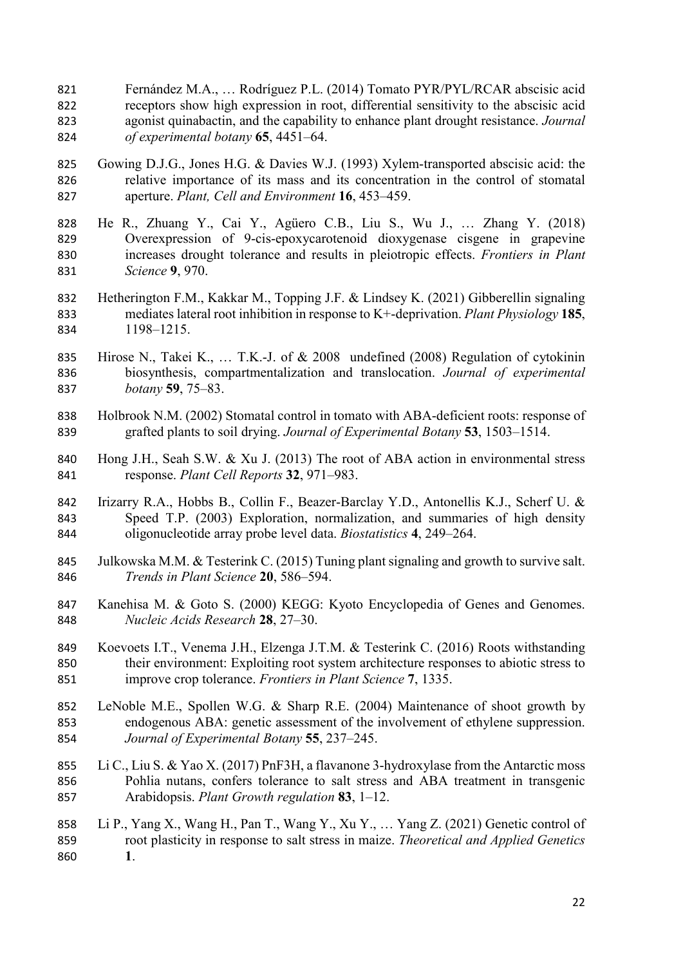- Fernández M.A., … Rodríguez P.L. (2014) Tomato PYR/PYL/RCAR abscisic acid receptors show high expression in root, differential sensitivity to the abscisic acid agonist quinabactin, and the capability to enhance plant drought resistance. *Journal of experimental botany* **65**, 4451–64.
- Gowing D.J.G., Jones H.G. & Davies W.J. (1993) Xylem-transported abscisic acid: the relative importance of its mass and its concentration in the control of stomatal aperture. *Plant, Cell and Environment* **16**, 453–459.
- He R., Zhuang Y., Cai Y., Agüero C.B., Liu S., Wu J., … Zhang Y. (2018) Overexpression of 9-cis-epoxycarotenoid dioxygenase cisgene in grapevine increases drought tolerance and results in pleiotropic effects. *Frontiers in Plant Science* **9**, 970.
- Hetherington F.M., Kakkar M., Topping J.F. & Lindsey K. (2021) Gibberellin signaling mediates lateral root inhibition in response to K+-deprivation. *Plant Physiology* **185**, 1198–1215.
- Hirose N., Takei K., … T.K.-J. of & 2008 undefined (2008) Regulation of cytokinin biosynthesis, compartmentalization and translocation. *Journal of experimental botany* **59**, 75–83.
- Holbrook N.M. (2002) Stomatal control in tomato with ABA-deficient roots: response of grafted plants to soil drying. *Journal of Experimental Botany* **53**, 1503–1514.
- Hong J.H., Seah S.W. & Xu J. (2013) The root of ABA action in environmental stress response. *Plant Cell Reports* **32**, 971–983.
- Irizarry R.A., Hobbs B., Collin F., Beazer-Barclay Y.D., Antonellis K.J., Scherf U. & Speed T.P. (2003) Exploration, normalization, and summaries of high density oligonucleotide array probe level data. *Biostatistics* **4**, 249–264.
- Julkowska M.M. & Testerink C. (2015) Tuning plant signaling and growth to survive salt. *Trends in Plant Science* **20**, 586–594.
- 847 Kanehisa M. & Goto S. (2000) KEGG: Kyoto Encyclopedia of Genes and Genomes. *Nucleic Acids Research* **28**, 27–30.
- Koevoets I.T., Venema J.H., Elzenga J.T.M. & Testerink C. (2016) Roots withstanding their environment: Exploiting root system architecture responses to abiotic stress to improve crop tolerance. *Frontiers in Plant Science* **7**, 1335.
- LeNoble M.E., Spollen W.G. & Sharp R.E. (2004) Maintenance of shoot growth by endogenous ABA: genetic assessment of the involvement of ethylene suppression. *Journal of Experimental Botany* **55**, 237–245.
- Li C., Liu S. & Yao X. (2017) PnF3H, a flavanone 3-hydroxylase from the Antarctic moss Pohlia nutans, confers tolerance to salt stress and ABA treatment in transgenic Arabidopsis. *Plant Growth regulation* **83**, 1–12.
- Li P., Yang X., Wang H., Pan T., Wang Y., Xu Y., … Yang Z. (2021) Genetic control of root plasticity in response to salt stress in maize. *Theoretical and Applied Genetics* **1**.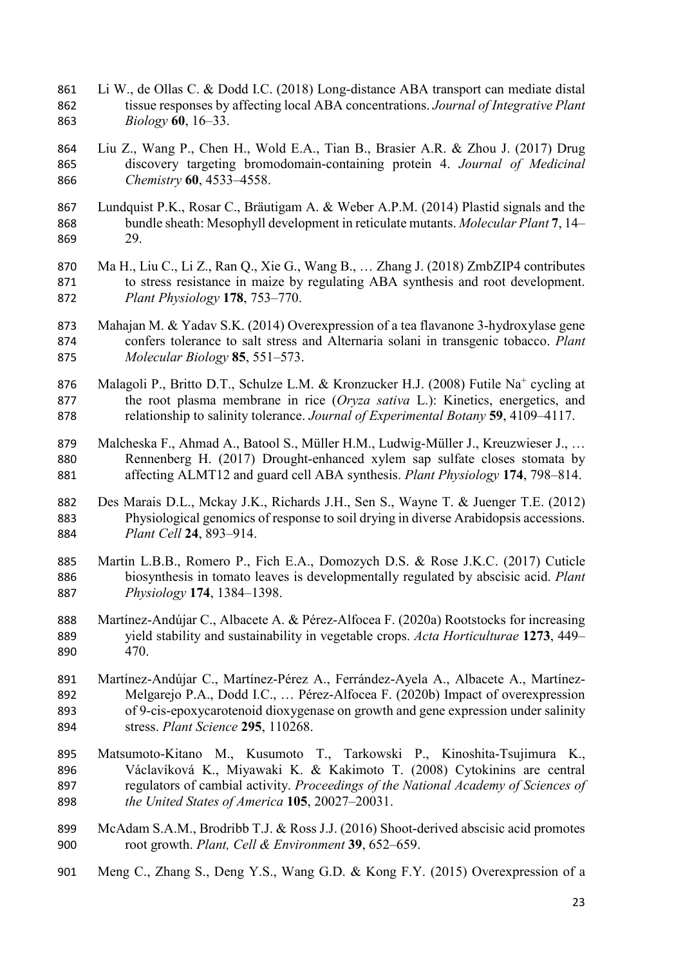- Li W., de Ollas C. & Dodd I.C. (2018) Long-distance ABA transport can mediate distal tissue responses by affecting local ABA concentrations. *Journal of Integrative Plant Biology* **60**, 16–33.
- Liu Z., Wang P., Chen H., Wold E.A., Tian B., Brasier A.R. & Zhou J. (2017) Drug discovery targeting bromodomain-containing protein 4. *Journal of Medicinal Chemistry* **60**, 4533–4558.
- Lundquist P.K., Rosar C., Bräutigam A. & Weber A.P.M. (2014) Plastid signals and the bundle sheath: Mesophyll development in reticulate mutants. *Molecular Plant* **7**, 14– 29.
- Ma H., Liu C., Li Z., Ran Q., Xie G., Wang B., … Zhang J. (2018) ZmbZIP4 contributes to stress resistance in maize by regulating ABA synthesis and root development. *Plant Physiology* **178**, 753–770.
- Mahajan M. & Yadav S.K. (2014) Overexpression of a tea flavanone 3-hydroxylase gene confers tolerance to salt stress and Alternaria solani in transgenic tobacco. *Plant Molecular Biology* **85**, 551–573.
- 876 Malagoli P., Britto D.T., Schulze L.M. & Kronzucker H.J. (2008) Futile Na<sup>+</sup> cycling at the root plasma membrane in rice (*Oryza sativa* L.): Kinetics, energetics, and relationship to salinity tolerance. *Journal of Experimental Botany* **59**, 4109–4117.
- Malcheska F., Ahmad A., Batool S., Müller H.M., Ludwig-Müller J., Kreuzwieser J., … Rennenberg H. (2017) Drought-enhanced xylem sap sulfate closes stomata by affecting ALMT12 and guard cell ABA synthesis. *Plant Physiology* **174**, 798–814.
- Des Marais D.L., Mckay J.K., Richards J.H., Sen S., Wayne T. & Juenger T.E. (2012) Physiological genomics of response to soil drying in diverse Arabidopsis accessions. *Plant Cell* **24**, 893–914.
- Martin L.B.B., Romero P., Fich E.A., Domozych D.S. & Rose J.K.C. (2017) Cuticle biosynthesis in tomato leaves is developmentally regulated by abscisic acid. *Plant Physiology* **174**, 1384–1398.
- Martínez-Andújar C., Albacete A. & Pérez-Alfocea F. (2020a) Rootstocks for increasing yield stability and sustainability in vegetable crops. *Acta Horticulturae* **1273**, 449– 470.
- Martínez-Andújar C., Martínez-Pérez A., Ferrández-Ayela A., Albacete A., Martínez- Melgarejo P.A., Dodd I.C., … Pérez-Alfocea F. (2020b) Impact of overexpression of 9-cis-epoxycarotenoid dioxygenase on growth and gene expression under salinity stress. *Plant Science* **295**, 110268.
- Matsumoto-Kitano M., Kusumoto T., Tarkowski P., Kinoshita-Tsujimura K., Václavíková K., Miyawaki K. & Kakimoto T. (2008) Cytokinins are central regulators of cambial activity. *Proceedings of the National Academy of Sciences of the United States of America* **105**, 20027–20031.
- McAdam S.A.M., Brodribb T.J. & Ross J.J. (2016) Shoot-derived abscisic acid promotes root growth. *Plant, Cell & Environment* **39**, 652–659.
- Meng C., Zhang S., Deng Y.S., Wang G.D. & Kong F.Y. (2015) Overexpression of a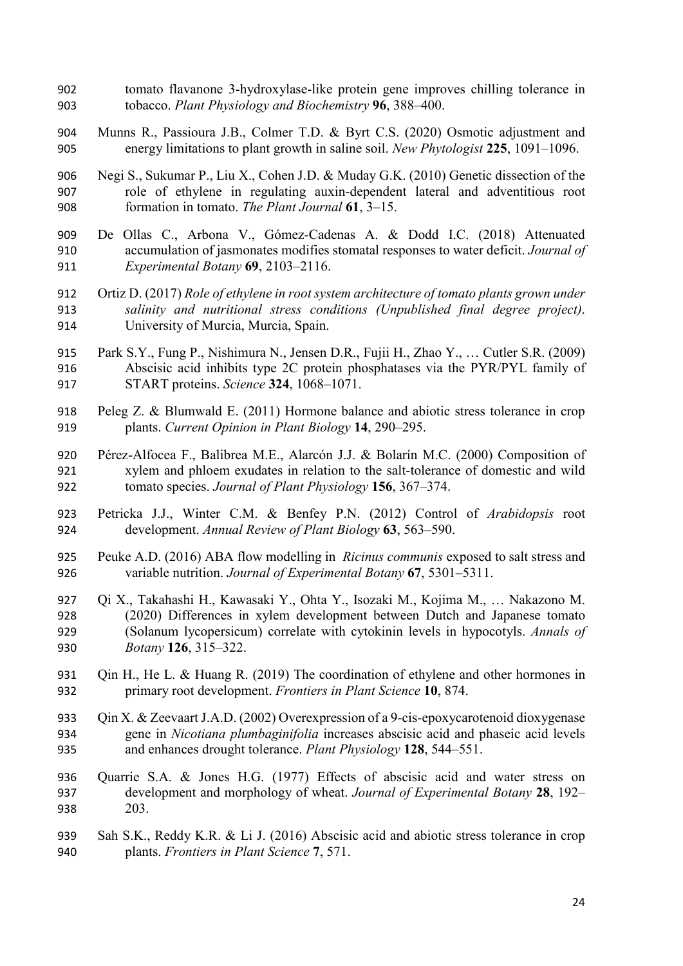- tomato flavanone 3-hydroxylase-like protein gene improves chilling tolerance in tobacco. *Plant Physiology and Biochemistry* **96**, 388–400.
- Munns R., Passioura J.B., Colmer T.D. & Byrt C.S. (2020) Osmotic adjustment and energy limitations to plant growth in saline soil. *New Phytologist* **225**, 1091–1096.
- Negi S., Sukumar P., Liu X., Cohen J.D. & Muday G.K. (2010) Genetic dissection of the role of ethylene in regulating auxin-dependent lateral and adventitious root formation in tomato. *The Plant Journal* **61**, 3–15.
- De Ollas C., Arbona V., Gómez-Cadenas A. & Dodd I.C. (2018) Attenuated accumulation of jasmonates modifies stomatal responses to water deficit. *Journal of Experimental Botany* **69**, 2103–2116.
- Ortiz D. (2017) *Role of ethylene in root system architecture of tomato plants grown under salinity and nutritional stress conditions (Unpublished final degree project)*. University of Murcia, Murcia, Spain.
- Park S.Y., Fung P., Nishimura N., Jensen D.R., Fujii H., Zhao Y., … Cutler S.R. (2009) Abscisic acid inhibits type 2C protein phosphatases via the PYR/PYL family of START proteins. *Science* **324**, 1068–1071.
- Peleg Z. & Blumwald E. (2011) Hormone balance and abiotic stress tolerance in crop plants. *Current Opinion in Plant Biology* **14**, 290–295.
- Pérez-Alfocea F., Balibrea M.E., Alarcón J.J. & Bolarín M.C. (2000) Composition of xylem and phloem exudates in relation to the salt-tolerance of domestic and wild tomato species. *Journal of Plant Physiology* **156**, 367–374.
- Petricka J.J., Winter C.M. & Benfey P.N. (2012) Control of *Arabidopsis* root development. *Annual Review of Plant Biology* **63**, 563–590.
- Peuke A.D. (2016) ABA flow modelling in *Ricinus communis* exposed to salt stress and variable nutrition. *Journal of Experimental Botany* **67**, 5301–5311.
- Qi X., Takahashi H., Kawasaki Y., Ohta Y., Isozaki M., Kojima M., … Nakazono M. (2020) Differences in xylem development between Dutch and Japanese tomato (Solanum lycopersicum) correlate with cytokinin levels in hypocotyls. *Annals of Botany* **126**, 315–322.
- 931 Qin H., He L. & Huang R. (2019) The coordination of ethylene and other hormones in primary root development. *Frontiers in Plant Science* **10**, 874.
- Qin X. & Zeevaart J.A.D. (2002) Overexpression of a 9-cis-epoxycarotenoid dioxygenase gene in *Nicotiana plumbaginifolia* increases abscisic acid and phaseic acid levels and enhances drought tolerance. *Plant Physiology* **128**, 544–551.
- Quarrie S.A. & Jones H.G. (1977) Effects of abscisic acid and water stress on development and morphology of wheat. *Journal of Experimental Botany* **28**, 192– 203.
- Sah S.K., Reddy K.R. & Li J. (2016) Abscisic acid and abiotic stress tolerance in crop plants. *Frontiers in Plant Science* **7**, 571.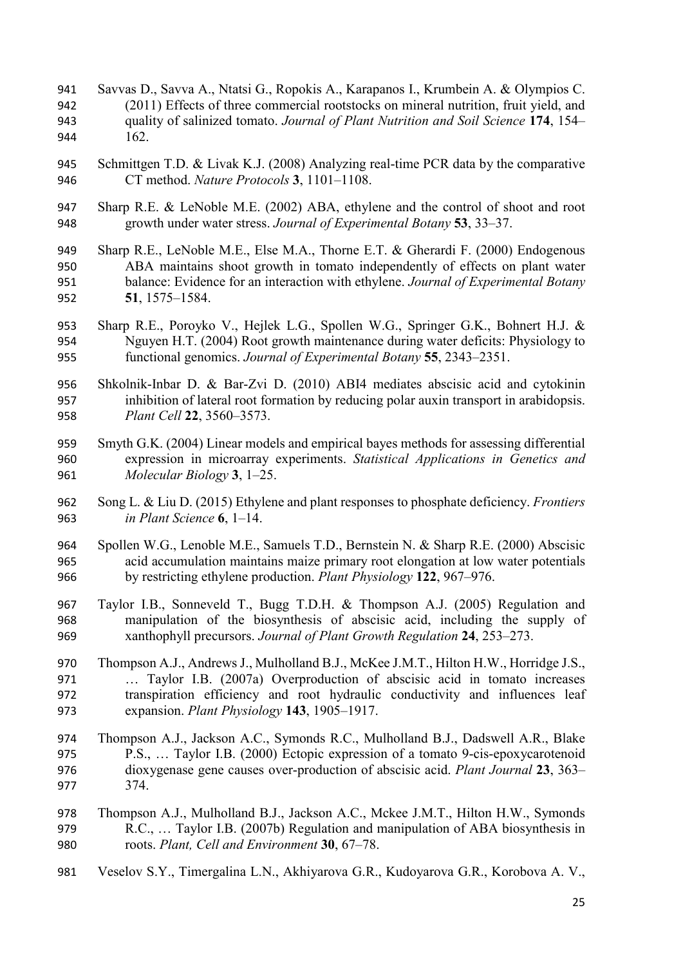- Savvas D., Savva A., Ntatsi G., Ropokis A., Karapanos I., Krumbein A. & Olympios C. (2011) Effects of three commercial rootstocks on mineral nutrition, fruit yield, and quality of salinized tomato. *Journal of Plant Nutrition and Soil Science* **174**, 154– 162.
- Schmittgen T.D. & Livak K.J. (2008) Analyzing real-time PCR data by the comparative CT method. *Nature Protocols* **3**, 1101–1108.
- Sharp R.E. & LeNoble M.E. (2002) ABA, ethylene and the control of shoot and root growth under water stress. *Journal of Experimental Botany* **53**, 33–37.
- Sharp R.E., LeNoble M.E., Else M.A., Thorne E.T. & Gherardi F. (2000) Endogenous ABA maintains shoot growth in tomato independently of effects on plant water balance: Evidence for an interaction with ethylene. *Journal of Experimental Botany* **51**, 1575–1584.
- Sharp R.E., Poroyko V., Hejlek L.G., Spollen W.G., Springer G.K., Bohnert H.J. & Nguyen H.T. (2004) Root growth maintenance during water deficits: Physiology to functional genomics. *Journal of Experimental Botany* **55**, 2343–2351.
- Shkolnik-Inbar D. & Bar-Zvi D. (2010) ABI4 mediates abscisic acid and cytokinin inhibition of lateral root formation by reducing polar auxin transport in arabidopsis. *Plant Cell* **22**, 3560–3573.
- Smyth G.K. (2004) Linear models and empirical bayes methods for assessing differential expression in microarray experiments. *Statistical Applications in Genetics and Molecular Biology* **3**, 1–25.
- Song L. & Liu D. (2015) Ethylene and plant responses to phosphate deficiency. *Frontiers in Plant Science* **6**, 1–14.
- Spollen W.G., Lenoble M.E., Samuels T.D., Bernstein N. & Sharp R.E. (2000) Abscisic acid accumulation maintains maize primary root elongation at low water potentials by restricting ethylene production. *Plant Physiology* **122**, 967–976.
- Taylor I.B., Sonneveld T., Bugg T.D.H. & Thompson A.J. (2005) Regulation and manipulation of the biosynthesis of abscisic acid, including the supply of xanthophyll precursors. *Journal of Plant Growth Regulation* **24**, 253–273.
- Thompson A.J., Andrews J., Mulholland B.J., McKee J.M.T., Hilton H.W., Horridge J.S., … Taylor I.B. (2007a) Overproduction of abscisic acid in tomato increases transpiration efficiency and root hydraulic conductivity and influences leaf expansion. *Plant Physiology* **143**, 1905–1917.
- Thompson A.J., Jackson A.C., Symonds R.C., Mulholland B.J., Dadswell A.R., Blake P.S., … Taylor I.B. (2000) Ectopic expression of a tomato 9-cis-epoxycarotenoid dioxygenase gene causes over-production of abscisic acid. *Plant Journal* **23**, 363– 374.
- Thompson A.J., Mulholland B.J., Jackson A.C., Mckee J.M.T., Hilton H.W., Symonds R.C., … Taylor I.B. (2007b) Regulation and manipulation of ABA biosynthesis in roots. *Plant, Cell and Environment* **30**, 67–78.
- Veselov S.Y., Timergalina L.N., Akhiyarova G.R., Kudoyarova G.R., Korobova A. V.,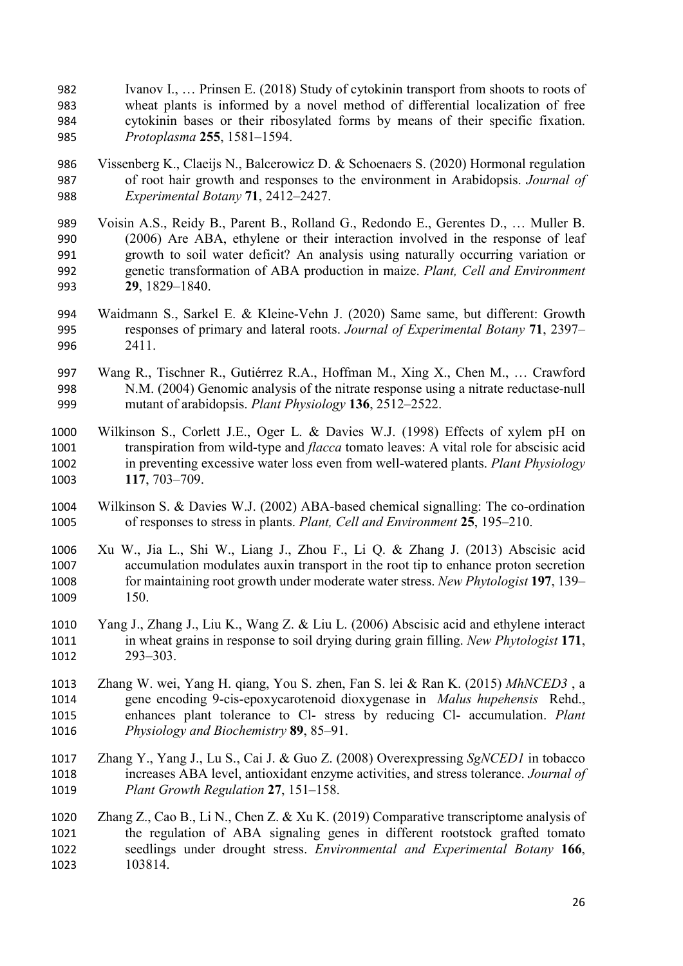- Ivanov I., … Prinsen E. (2018) Study of cytokinin transport from shoots to roots of wheat plants is informed by a novel method of differential localization of free cytokinin bases or their ribosylated forms by means of their specific fixation. *Protoplasma* **255**, 1581–1594.
- Vissenberg K., Claeijs N., Balcerowicz D. & Schoenaers S. (2020) Hormonal regulation of root hair growth and responses to the environment in Arabidopsis. *Journal of Experimental Botany* **71**, 2412–2427.
- Voisin A.S., Reidy B., Parent B., Rolland G., Redondo E., Gerentes D., … Muller B. (2006) Are ABA, ethylene or their interaction involved in the response of leaf growth to soil water deficit? An analysis using naturally occurring variation or genetic transformation of ABA production in maize. *Plant, Cell and Environment* **29**, 1829–1840.
- Waidmann S., Sarkel E. & Kleine-Vehn J. (2020) Same same, but different: Growth responses of primary and lateral roots. *Journal of Experimental Botany* **71**, 2397– 2411.
- Wang R., Tischner R., Gutiérrez R.A., Hoffman M., Xing X., Chen M., … Crawford N.M. (2004) Genomic analysis of the nitrate response using a nitrate reductase-null mutant of arabidopsis. *Plant Physiology* **136**, 2512–2522.
- Wilkinson S., Corlett J.E., Oger L. & Davies W.J. (1998) Effects of xylem pH on transpiration from wild-type and *flacca* tomato leaves: A vital role for abscisic acid in preventing excessive water loss even from well-watered plants. *Plant Physiology* **117**, 703–709.
- Wilkinson S. & Davies W.J. (2002) ABA-based chemical signalling: The co-ordination of responses to stress in plants. *Plant, Cell and Environment* **25**, 195–210.
- Xu W., Jia L., Shi W., Liang J., Zhou F., Li Q. & Zhang J. (2013) Abscisic acid accumulation modulates auxin transport in the root tip to enhance proton secretion for maintaining root growth under moderate water stress. *New Phytologist* **197**, 139– 150.
- Yang J., Zhang J., Liu K., Wang Z. & Liu L. (2006) Abscisic acid and ethylene interact in wheat grains in response to soil drying during grain filling. *New Phytologist* **171**, 293–303.
- Zhang W. wei, Yang H. qiang, You S. zhen, Fan S. lei & Ran K. (2015) *MhNCED3* , a gene encoding 9-cis-epoxycarotenoid dioxygenase in *Malus hupehensis* Rehd., enhances plant tolerance to Cl- stress by reducing Cl- accumulation. *Plant Physiology and Biochemistry* **89**, 85–91.
- Zhang Y., Yang J., Lu S., Cai J. & Guo Z. (2008) Overexpressing *SgNCED1* in tobacco increases ABA level, antioxidant enzyme activities, and stress tolerance. *Journal of Plant Growth Regulation* **27**, 151–158.
- Zhang Z., Cao B., Li N., Chen Z. & Xu K. (2019) Comparative transcriptome analysis of the regulation of ABA signaling genes in different rootstock grafted tomato seedlings under drought stress. *Environmental and Experimental Botany* **166**, 103814.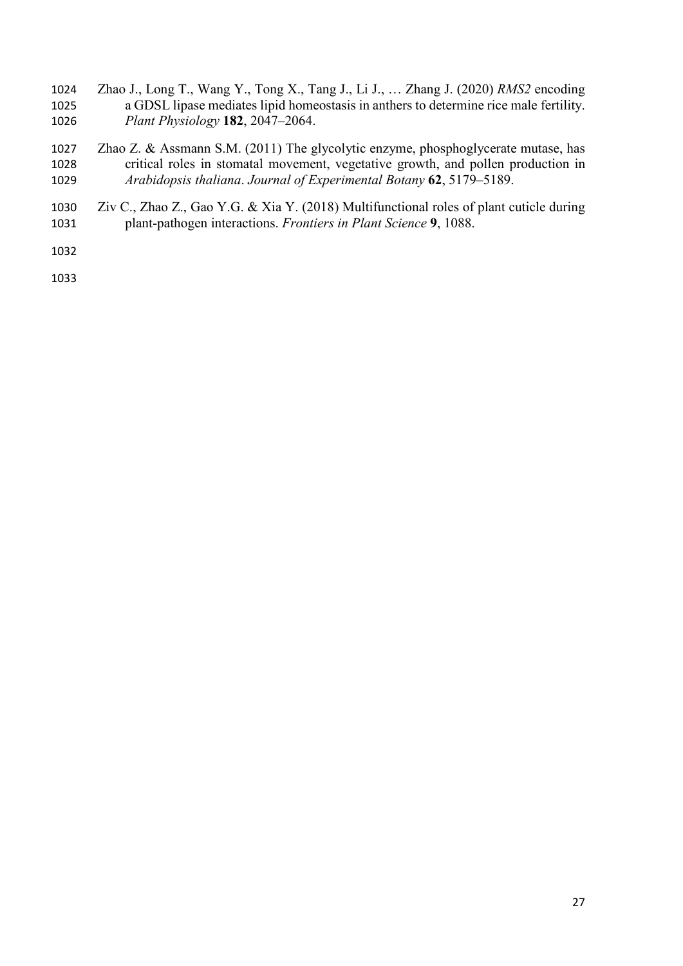- Zhao J., Long T., Wang Y., Tong X., Tang J., Li J., … Zhang J. (2020) *RMS2* encoding a GDSL lipase mediates lipid homeostasis in anthers to determine rice male fertility. *Plant Physiology* **182**, 2047–2064.
- Zhao Z. & Assmann S.M. (2011) The glycolytic enzyme, phosphoglycerate mutase, has critical roles in stomatal movement, vegetative growth, and pollen production in *Arabidopsis thaliana*. *Journal of Experimental Botany* **62**, 5179–5189.
- Ziv C., Zhao Z., Gao Y.G. & Xia Y. (2018) Multifunctional roles of plant cuticle during plant-pathogen interactions. *Frontiers in Plant Science* **9**, 1088.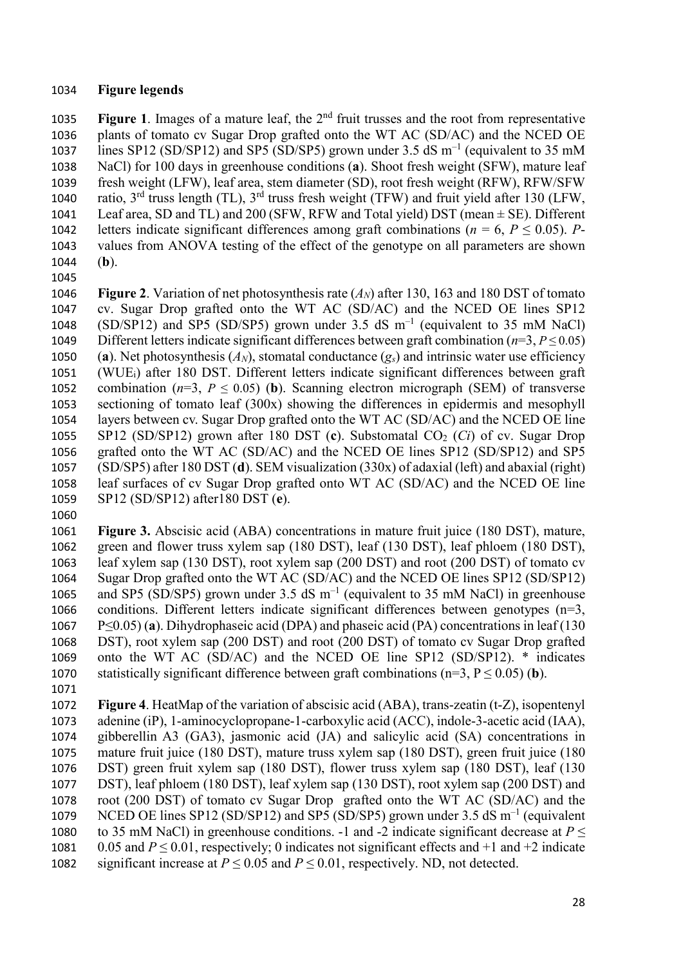### **Figure legends**

1035 **Figure 1**. Images of a mature leaf, the 2<sup>nd</sup> fruit trusses and the root from representative plants of tomato cv Sugar Drop grafted onto the WT AC (SD/AC) and the NCED OE 1037 lines SP12 (SD/SP12) and SP5 (SD/SP5) grown under 3.5 dS  $m^{-1}$  (equivalent to 35 mM NaCl) for 100 days in greenhouse conditions (**a**). Shoot fresh weight (SFW), mature leaf fresh weight (LFW), leaf area, stem diameter (SD), root fresh weight (RFW), RFW/SFW 1040 ratio,  $3^{rd}$  truss length (TL),  $3^{rd}$  truss fresh weight (TFW) and fruit yield after 130 (LFW, 1041 Leaf area, SD and TL) and 200 (SFW, RFW and Total yield) DST (mean  $\pm$  SE). Different 1042 letters indicate significant differences among graft combinations ( $n = 6$ ,  $P \le 0.05$ ). *P*- values from ANOVA testing of the effect of the genotype on all parameters are shown (**b**).

 **Figure 2**. Variation of net photosynthesis rate (*AN*) after 130, 163 and 180 DST of tomato cv. Sugar Drop grafted onto the WT AC (SD/AC) and the NCED OE lines SP12 1048 (SD/SP12) and SP5 (SD/SP5) grown under 3.5 dS  $m^{-1}$  (equivalent to 35 mM NaCl) Different letters indicate significant differences between graft combination (*n*=3, *P* ≤ 0.05) 1050 (a). Net photosynthesis  $(A_N)$ , stomatal conductance  $(g_s)$  and intrinsic water use efficiency (WUEi) after 180 DST. Different letters indicate significant differences between graft 1052 combination ( $n=3$ ,  $P \le 0.05$ ) (b). Scanning electron micrograph (SEM) of transverse sectioning of tomato leaf (300x) showing the differences in epidermis and mesophyll layers between cv. Sugar Drop grafted onto the WT AC (SD/AC) and the NCED OE line 1055 SP12 (SD/SP12) grown after 180 DST (c). Substomatal CO<sub>2</sub> (*Ci*) of cv. Sugar Drop grafted onto the WT AC (SD/AC) and the NCED OE lines SP12 (SD/SP12) and SP5 (SD/SP5) after 180 DST (**d**). SEM visualization (330x) of adaxial (left) and abaxial (right) leaf surfaces of cv Sugar Drop grafted onto WT AC (SD/AC) and the NCED OE line SP12 (SD/SP12) after180 DST (**e**).

- **Figure 3.** Abscisic acid (ABA) concentrations in mature fruit juice (180 DST), mature, green and flower truss xylem sap (180 DST), leaf (130 DST), leaf phloem (180 DST), leaf xylem sap (130 DST), root xylem sap (200 DST) and root (200 DST) of tomato cv Sugar Drop grafted onto the WT AC (SD/AC) and the NCED OE lines SP12 (SD/SP12) 1065 and SP5 (SD/SP5) grown under 3.5 dS  $m^{-1}$  (equivalent to 35 mM NaCl) in greenhouse conditions. Different letters indicate significant differences between genotypes (n=3, P≤0.05) (**a**). Dihydrophaseic acid (DPA) and phaseic acid (PA) concentrations in leaf (130 DST), root xylem sap (200 DST) and root (200 DST) of tomato cv Sugar Drop grafted onto the WT AC (SD/AC) and the NCED OE line SP12 (SD/SP12). \* indicates statistically significant difference between graft combinations (n=3, P ≤ 0.05) (**b**).
- 

 **Figure 4**. HeatMap of the variation of abscisic acid (ABA), trans-zeatin (t-Z), isopentenyl adenine (iP), 1-aminocyclopropane-1-carboxylic acid (ACC), indole-3-acetic acid (IAA), gibberellin A3 (GA3), jasmonic acid (JA) and salicylic acid (SA) concentrations in mature fruit juice (180 DST), mature truss xylem sap (180 DST), green fruit juice (180 DST) green fruit xylem sap (180 DST), flower truss xylem sap (180 DST), leaf (130 DST), leaf phloem (180 DST), leaf xylem sap (130 DST), root xylem sap (200 DST) and root (200 DST) of tomato cv Sugar Drop grafted onto the WT AC (SD/AC) and the 1079 NCED OE lines SP12 (SD/SP12) and SP5 (SD/SP5) grown under 3.5 dS  $m^{-1}$  (equivalent 1080 to 35 mM NaCl) in greenhouse conditions. -1 and -2 indicate significant decrease at  $P \leq$  0.05 and *P* ≤ 0.01, respectively; 0 indicates not significant effects and +1 and +2 indicate 1082 significant increase at  $P \le 0.05$  and  $P \le 0.01$ , respectively. ND, not detected.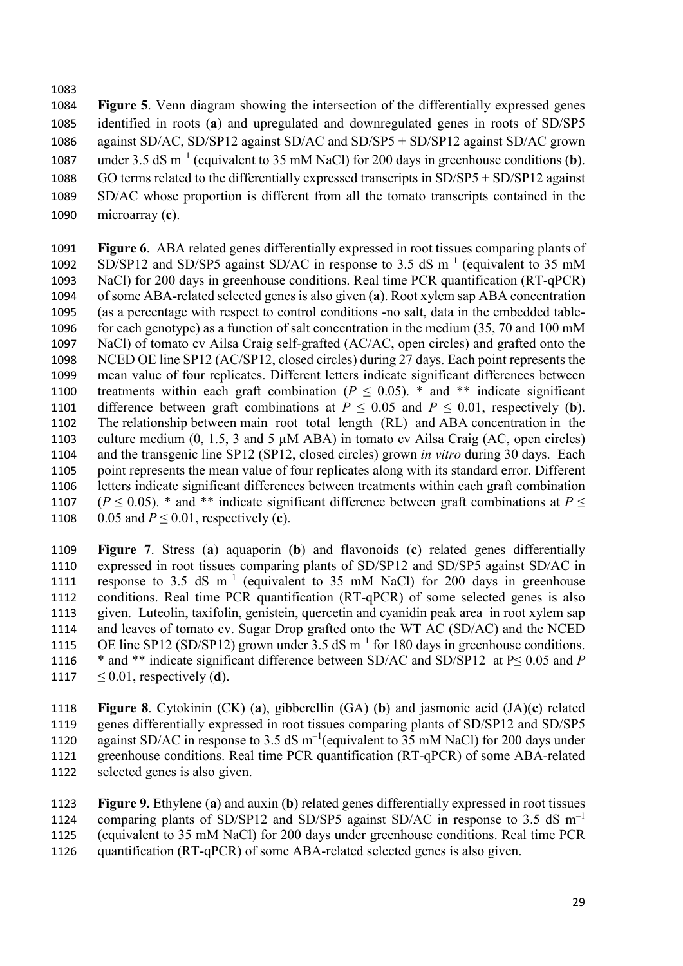**Figure 5**. Venn diagram showing the intersection of the differentially expressed genes identified in roots (**a**) and upregulated and downregulated genes in roots of SD/SP5 against SD/AC, SD/SP12 against SD/AC and SD/SP5 + SD/SP12 against SD/AC grown 1087 under 3.5 dS m<sup>-1</sup> (equivalent to 35 mM NaCl) for 200 days in greenhouse conditions (**b**). GO terms related to the differentially expressed transcripts in SD/SP5 + SD/SP12 against SD/AC whose proportion is different from all the tomato transcripts contained in the microarray (**c**).

 **Figure 6**. ABA related genes differentially expressed in root tissues comparing plants of 1092 SD/SP12 and SD/SP5 against SD/AC in response to 3.5 dS  $m^{-1}$  (equivalent to 35 mM NaCl) for 200 days in greenhouse conditions. Real time PCR quantification (RT-qPCR) of some ABA-related selected genes is also given (**a**). Root xylem sap ABA concentration (as a percentage with respect to control conditions -no salt, data in the embedded table-1096 for each genotype) as a function of salt concentration in the medium (35, 70 and 100 mM NaCl) of tomato cv Ailsa Craig self-grafted (AC/AC, open circles) and grafted onto the NCED OE line SP12 (AC/SP12, closed circles) during 27 days. Each point represents the mean value of four replicates. Different letters indicate significant differences between 1100 treatments within each graft combination ( $P \le 0.05$ ). \* and \*\* indicate significant 1101 difference between graft combinations at  $P \le 0.05$  and  $P \le 0.01$ , respectively (**b**). The relationship between main root total length (RL) and ABA concentration in the 1103 culture medium  $(0, 1.5, 3 \text{ and } 5 \mu \text{M}$  ABA) in tomato cv Ailsa Craig (AC, open circles) and the transgenic line SP12 (SP12, closed circles) grown *in vitro* during 30 days. Each point represents the mean value of four replicates along with its standard error. Different letters indicate significant differences between treatments within each graft combination 1107 ( $P \le 0.05$ ). \* and \*\* indicate significant difference between graft combinations at  $P \le$ 1108 0.05 and  $P \le 0.01$ , respectively (c).

 **Figure 7**. Stress (**a**) aquaporin (**b**) and flavonoids (**c**) related genes differentially expressed in root tissues comparing plants of SD/SP12 and SD/SP5 against SD/AC in 1111 response to 3.5 dS  $m^{-1}$  (equivalent to 35 mM NaCl) for 200 days in greenhouse conditions. Real time PCR quantification (RT-qPCR) of some selected genes is also given. Luteolin, taxifolin, genistein, quercetin and cyanidin peak area in root xylem sap and leaves of tomato cv. Sugar Drop grafted onto the WT AC (SD/AC) and the NCED 1115 OE line SP12 (SD/SP12) grown under 3.5 dS  $m^{-1}$  for 180 days in greenhouse conditions. \* and \*\* indicate significant difference between SD/AC and SD/SP12 at P≤ 0.05 and *P*  $\leq 0.01$ , respectively (**d**).

 **Figure 8**. Cytokinin (CK) (**a**), gibberellin (GA) (**b**) and jasmonic acid (JA)(**c**) related genes differentially expressed in root tissues comparing plants of SD/SP12 and SD/SP5 1120 against SD/AC in response to 3.5 dS  $m^{-1}$  (equivalent to 35 mM NaCl) for 200 days under greenhouse conditions. Real time PCR quantification (RT-qPCR) of some ABA-related selected genes is also given.

 **Figure 9.** Ethylene (**a**) and auxin (**b**) related genes differentially expressed in root tissues 1124 comparing plants of SD/SP12 and SD/SP5 against SD/AC in response to 3.5 dS  $m^{-1}$ (equivalent to 35 mM NaCl) for 200 days under greenhouse conditions. Real time PCR

quantification (RT-qPCR) of some ABA-related selected genes is also given.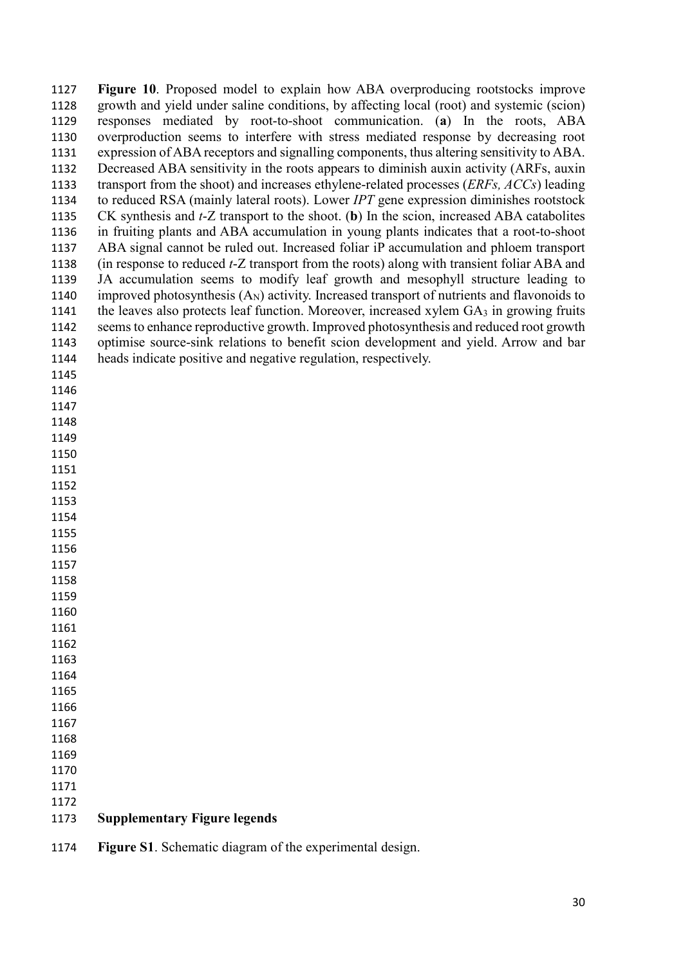| 1127 | Figure 10. Proposed model to explain how ABA overproducing rootstocks improve                          |
|------|--------------------------------------------------------------------------------------------------------|
| 1128 | growth and yield under saline conditions, by affecting local (root) and systemic (scion)               |
| 1129 | responses mediated by root-to-shoot communication. (a) In the roots, ABA                               |
| 1130 | overproduction seems to interfere with stress mediated response by decreasing root                     |
| 1131 | expression of ABA receptors and signalling components, thus altering sensitivity to ABA.               |
| 1132 | Decreased ABA sensitivity in the roots appears to diminish auxin activity (ARFs, auxin                 |
| 1133 | transport from the shoot) and increases ethylene-related processes (ERFs, ACCs) leading                |
| 1134 | to reduced RSA (mainly lateral roots). Lower IPT gene expression diminishes rootstock                  |
| 1135 | CK synthesis and $t$ -Z transport to the shoot. (b) In the scion, increased ABA catabolites            |
| 1136 | in fruiting plants and ABA accumulation in young plants indicates that a root-to-shoot                 |
| 1137 | ABA signal cannot be ruled out. Increased foliar iP accumulation and phloem transport                  |
| 1138 | (in response to reduced <i>t</i> -Z transport from the roots) along with transient foliar ABA and      |
| 1139 | JA accumulation seems to modify leaf growth and mesophyll structure leading to                         |
| 1140 | improved photosynthesis (A <sub>N</sub> ) activity. Increased transport of nutrients and flavonoids to |
| 1141 | the leaves also protects leaf function. Moreover, increased xylem GA3 in growing fruits                |
| 1142 | seems to enhance reproductive growth. Improved photosynthesis and reduced root growth                  |
| 1143 | optimise source-sink relations to benefit scion development and yield. Arrow and bar                   |
| 1144 | heads indicate positive and negative regulation, respectively.                                         |
| 1145 |                                                                                                        |
| 1146 |                                                                                                        |
| 1147 |                                                                                                        |
| 1148 |                                                                                                        |
| 1149 |                                                                                                        |
| 1150 |                                                                                                        |
| 1151 |                                                                                                        |
| 1152 |                                                                                                        |
| 1153 |                                                                                                        |
| 1154 |                                                                                                        |
| 1155 |                                                                                                        |
| 1156 |                                                                                                        |
| 1157 |                                                                                                        |
| 1158 |                                                                                                        |
| 1159 |                                                                                                        |
| 1160 |                                                                                                        |
| 1161 |                                                                                                        |
| 1162 |                                                                                                        |
| 1163 |                                                                                                        |
| 1164 |                                                                                                        |
| 1165 |                                                                                                        |
| 1166 |                                                                                                        |
| 1167 |                                                                                                        |
| 1168 |                                                                                                        |
| 1169 |                                                                                                        |
| 1170 |                                                                                                        |
| 1171 |                                                                                                        |
| 1172 |                                                                                                        |
| 1173 | <b>Supplementary Figure legends</b>                                                                    |
|      |                                                                                                        |

**Figure S1**. Schematic diagram of the experimental design.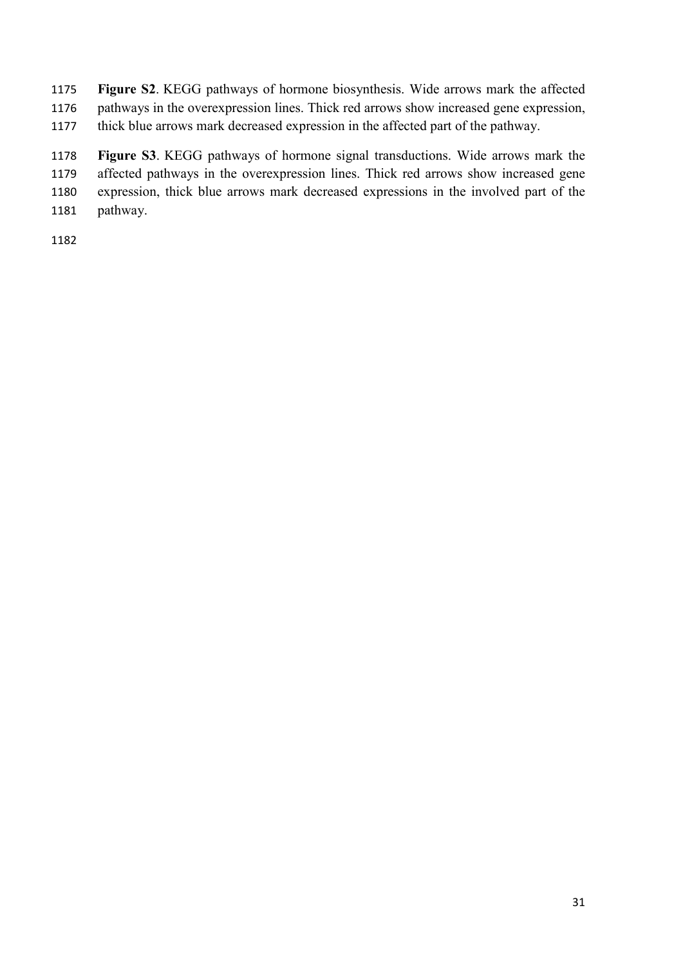**Figure S2**. KEGG pathways of hormone biosynthesis. Wide arrows mark the affected pathways in the overexpression lines. Thick red arrows show increased gene expression, thick blue arrows mark decreased expression in the affected part of the pathway.

 **Figure S3**. KEGG pathways of hormone signal transductions. Wide arrows mark the affected pathways in the overexpression lines. Thick red arrows show increased gene expression, thick blue arrows mark decreased expressions in the involved part of the pathway.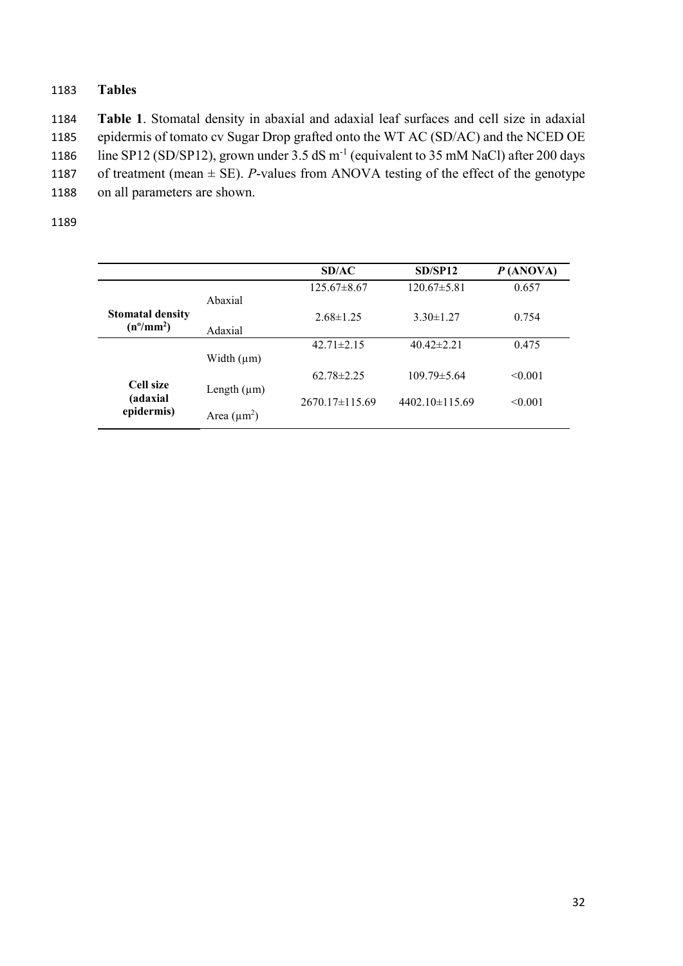# 1183 **Tables**

1184 **Table 1**. Stomatal density in abaxial and adaxial leaf surfaces and cell size in adaxial 1185 epidermis of tomato cv Sugar Drop grafted onto the WT AC (SD/AC) and the NCED OE 1186 line SP12 (SD/SP12), grown under 3.5 dS m<sup>-1</sup> (equivalent to 35 mM NaCl) after 200 days 1187 of treatment (mean  $\pm$  SE). *P*-values from ANOVA testing of the effect of the genotype 1188 on all parameters are shown.

|                                               |                  | SD/AC              | SD/SP12              | P(ANOVA) |
|-----------------------------------------------|------------------|--------------------|----------------------|----------|
|                                               | Abaxial          | $125.67\pm8.67$    | $120.67 \pm 5.81$    | 0.657    |
| <b>Stomatal density</b><br>$(n^{\circ}/mm^2)$ | Adaxial          | $2.68 \pm 1.25$    | $3.30 \pm 1.27$      | 0.754    |
|                                               | Width $(\mu m)$  | $42.71 \pm 2.15$   | $40.42 \pm 2.21$     | 0.475    |
| Cell size                                     | Length $(\mu m)$ | $62.78 \pm 2.25$   | $109.79 \pm 5.64$    | < 0.001  |
| (adaxial<br>epidermis)                        | Area $(\mu m^2)$ | $2670.17\pm115.69$ | $4402.10 \pm 115.69$ | < 0.001  |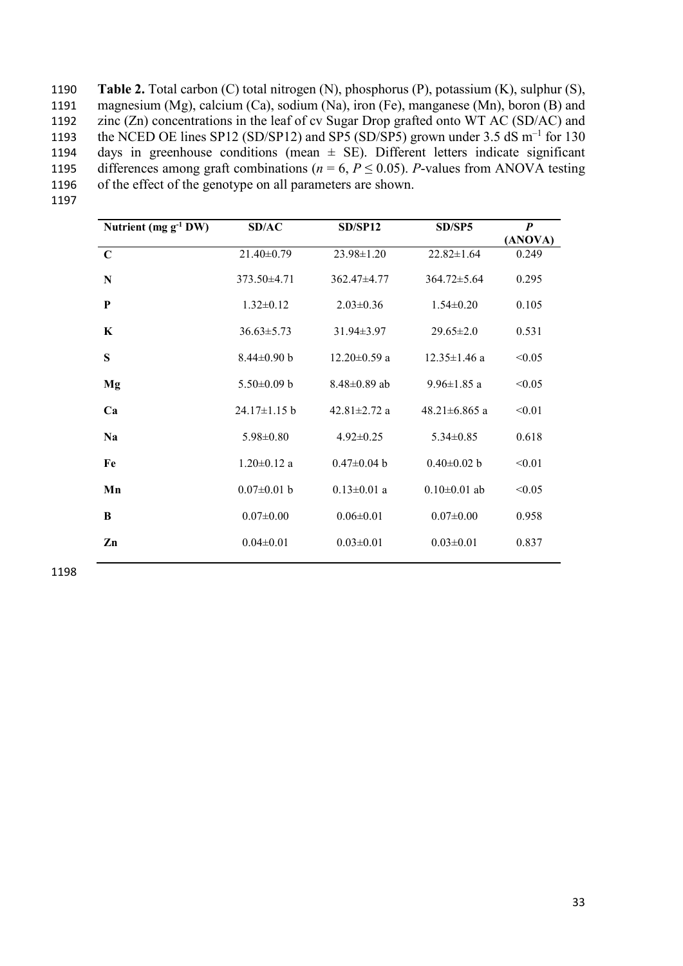| 1190 | <b>Table 2.</b> Total carbon $(C)$ total nitrogen $(N)$ , phosphorus $(P)$ , potassium $(K)$ , sulphur $(S)$ , |
|------|----------------------------------------------------------------------------------------------------------------|
| 1191 | magnesium (Mg), calcium (Ca), sodium (Na), iron (Fe), manganese (Mn), boron (B) and                            |
| 1192 | zinc $(Zn)$ concentrations in the leaf of cv Sugar Drop grafted onto WT AC (SD/AC) and                         |
| 1193 | the NCED OE lines SP12 (SD/SP12) and SP5 (SD/SP5) grown under 3.5 dS $\text{m}^{-1}$ for 130                   |
| 1194 | days in greenhouse conditions (mean $\pm$ SE). Different letters indicate significant                          |
| 1195 | differences among graft combinations ( $n = 6$ , $P \le 0.05$ ). P-values from ANOVA testing                   |
| 1196 | of the effect of the genotype on all parameters are shown.                                                     |

1197

| Nutrient (mg $g^{-1}$ DW) | SD/AC             | SD/SP12            | SD/SP5              | $\boldsymbol{P}$ |
|---------------------------|-------------------|--------------------|---------------------|------------------|
|                           |                   |                    |                     | (ANOVA)          |
| $\mathbf C$               | 21.40±0.79        | 23.98±1.20         | $22.82 \pm 1.64$    | 0.249            |
| $\mathbf N$               | $373.50\pm4.71$   | $362.47\pm4.77$    | $364.72 \pm 5.64$   | 0.295            |
| P                         | $1.32 \pm 0.12$   | $2.03 \pm 0.36$    | $1.54 \pm 0.20$     | 0.105            |
| $\bf K$                   | $36.63 \pm 5.73$  | $31.94 \pm 3.97$   | $29.65 \pm 2.0$     | 0.531            |
| S                         | $8.44 \pm 0.90$ b | $12.20 \pm 0.59$ a | $12.35 \pm 1.46$ a  | < 0.05           |
| Mg                        | $5.50\pm0.09$ b   | $8.48 \pm 0.89$ ab | $9.96 \pm 1.85$ a   | < 0.05           |
| Ca                        | 24.17±1.15 b      | 42.81 $\pm$ 2.72 a | 48.21 $\pm$ 6.865 a | < 0.01           |
| <b>Na</b>                 | $5.98 \pm 0.80$   | $4.92 \pm 0.25$    | $5.34 \pm 0.85$     | 0.618            |
| Fe                        | $1.20 \pm 0.12$ a | $0.47 \pm 0.04$ b  | $0.40 \pm 0.02$ b   | < 0.01           |
| Mn                        | $0.07 \pm 0.01$ b | $0.13 \pm 0.01$ a  | $0.10 \pm 0.01$ ab  | < 0.05           |
| B                         | $0.07 \pm 0.00$   | $0.06 \pm 0.01$    | $0.07 \pm 0.00$     | 0.958            |
| Zn                        | $0.04 \pm 0.01$   | $0.03 \pm 0.01$    | $0.03 \pm 0.01$     | 0.837            |
|                           |                   |                    |                     |                  |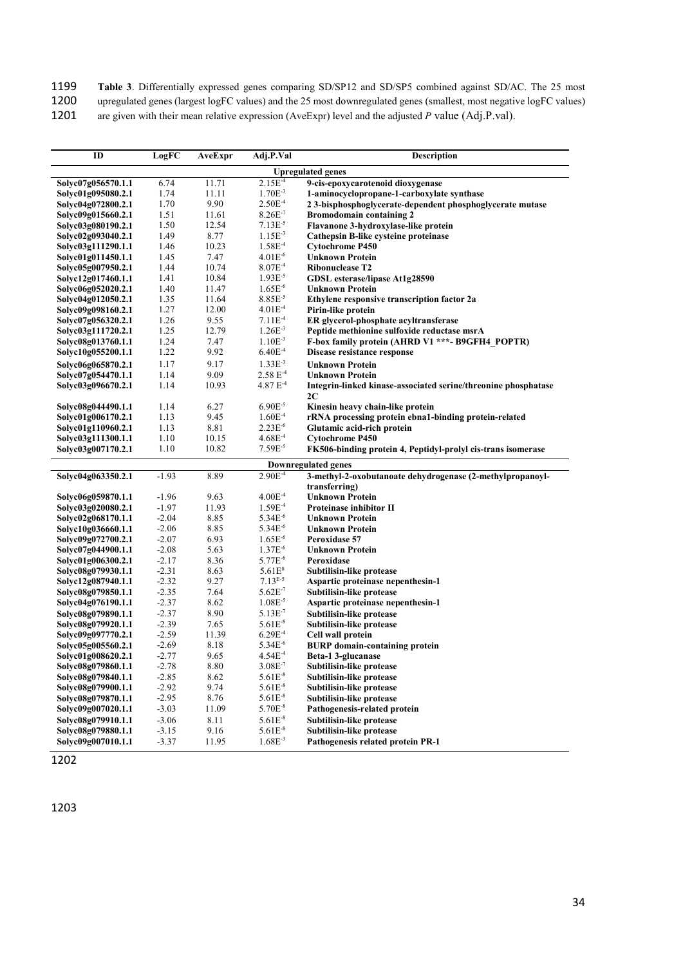1199 **Table 3**. Differentially expressed genes comparing SD/SP12 and SD/SP5 combined against SD/AC. The 25 most 1200 upregulated genes (largest logFC values) and the 25 most downregulated genes (smallest, most negative log

upregulated genes (largest logFC values) and the 25 most downregulated genes (smallest, most negative logFC values)

1201 are given with their mean relative expression (AveExpr) level and the adjusted *P* value (Adj.P.val).

| ID                       | LogFC   | AveExpr | Adj.P.Val     | <b>Description</b>                                             |  |
|--------------------------|---------|---------|---------------|----------------------------------------------------------------|--|
| <b>Upregulated genes</b> |         |         |               |                                                                |  |
| Solyc07g056570.1.1       | 6.74    | 11.71   | $2.15E^{-4}$  | 9-cis-epoxycarotenoid dioxygenase                              |  |
| Solyc01g095080.2.1       | 1.74    | 11.11   | $1.70E^{-3}$  | 1-aminocyclopropane-1-carboxylate synthase                     |  |
| Solyc04g072800.2.1       | 1.70    | 9.90    | $2.50E^{-4}$  | 23-bisphosphoglycerate-dependent phosphoglycerate mutase       |  |
| Solyc09g015660.2.1       | 1.51    | 11.61   | $8.26E^{-7}$  | <b>Bromodomain containing 2</b>                                |  |
| Solyc03g080190.2.1       | 1.50    | 12.54   | $7.13E^{-5}$  | Flavanone 3-hydroxylase-like protein                           |  |
| Solyc02g093040.2.1       | 1.49    | 8.77    | $1.15E^{-3}$  | Cathepsin B-like cysteine proteinase                           |  |
| Solyc03g111290.1.1       | 1.46    | 10.23   | $1.58E^{-4}$  | <b>Cytochrome P450</b>                                         |  |
| Solyc01g011450.1.1       | 1.45    | 7.47    | $4.01E^{-6}$  | <b>Unknown Protein</b>                                         |  |
| Solyc05g007950.2.1       | 1.44    | 10.74   | $8.07E^{-4}$  | <b>Ribonuclease T2</b>                                         |  |
| Solyc12g017460.1.1       | 1.41    | 10.84   | $1.93E^{-5}$  | GDSL esterase/lipase At1g28590                                 |  |
| Solyc06g052020.2.1       | 1.40    | 11.47   | $1.65E^{-6}$  | <b>Unknown Protein</b>                                         |  |
| Solyc04g012050.2.1       | 1.35    | 11.64   | $8.85E^{-5}$  | Ethylene responsive transcription factor 2a                    |  |
| Solyc09g098160.2.1       | 1.27    | 12.00   | $4.01E^{-4}$  | Pirin-like protein                                             |  |
| Solyc07g056320.2.1       | 1.26    | 9.55    | $7.11E^{-4}$  | ER glycerol-phosphate acyltransferase                          |  |
| Solyc03g111720.2.1       | 1.25    | 12.79   | $1.26E^{-3}$  | Peptide methionine sulfoxide reductase msrA                    |  |
| Solyc08g013760.1.1       | 1.24    | 7.47    | $1.10E^{-3}$  | F-box family protein (AHRD V1 ***- B9GFH4 POPTR)               |  |
| Solyc10g055200.1.1       | 1.22    | 9.92    | $6.40E^{-4}$  | Disease resistance response                                    |  |
| Solyc06g065870.2.1       | 1.17    | 9.17    | $1.33E^{-3}$  | <b>Unknown Protein</b>                                         |  |
| Solyc07g054470.1.1       | 1.14    | 9.09    | $2.58E^{-4}$  | <b>Unknown Protein</b>                                         |  |
| Solyc03g096670.2.1       | 1.14    | 10.93   | $4.87 E^{-4}$ | Integrin-linked kinase-associated serine/threonine phosphatase |  |
|                          |         |         |               | 2C                                                             |  |
| Solyc08g044490.1.1       | 1.14    | 6.27    | $6.90E^{-5}$  | Kinesin heavy chain-like protein                               |  |
| Solve01g006170.2.1       | 1.13    | 9.45    | $1.60E^{-4}$  | rRNA processing protein ebna1-binding protein-related          |  |
| Solyc01g110960.2.1       | 1.13    | 8.81    | $2.23E^{-6}$  | Glutamic acid-rich protein                                     |  |
| Solyc03g111300.1.1       | 1.10    | 10.15   | $4.68E^{-4}$  | <b>Cytochrome P450</b>                                         |  |
| Solyc03g007170.2.1       | 1.10    | 10.82   | $7.59E^{-5}$  | FK506-binding protein 4, Peptidyl-prolyl cis-trans isomerase   |  |
|                          |         |         |               | Downregulated genes                                            |  |
| Solyc04g063350.2.1       | $-1.93$ | 8.89    | $2.90E^{-4}$  | 3-methyl-2-oxobutanoate dehydrogenase (2-methylpropanoyl-      |  |
|                          |         |         |               | transferring)                                                  |  |
| Solyc06g059870.1.1       | $-1.96$ | 9.63    | $4.00E^{-4}$  | <b>Unknown Protein</b>                                         |  |
| Solyc03g020080.2.1       | $-1.97$ | 11.93   | $1.59E^{-4}$  | <b>Proteinase inhibitor II</b>                                 |  |
| Solyc02g068170.1.1       | $-2.04$ | 8.85    | $5.34E^{-6}$  | <b>Unknown Protein</b>                                         |  |
| Solyc10g036660.1.1       | $-2.06$ | 8.85    | $5.34E^{-6}$  | <b>Unknown Protein</b>                                         |  |
| Solyc09g072700.2.1       | $-2.07$ | 6.93    | $1.65E^{-6}$  | Peroxidase 57                                                  |  |
| Solyc07g044900.1.1       | $-2.08$ | 5.63    | $1.37E^{-6}$  | <b>Unknown Protein</b>                                         |  |
| Solyc01g006300.2.1       | $-2.17$ | 8.36    | $5.77E^{-6}$  | Peroxidase                                                     |  |
| Solyc08g079930.1.1       | $-2.31$ | 8.63    | $5.61E^{8}$   | Subtilisin-like protease                                       |  |
| Solyc12g087940.1.1       | $-2.32$ | 9.27    | $7.13^{E-5}$  | Aspartic proteinase nepenthesin-1                              |  |
| Solyc08g079850.1.1       | $-2.35$ | 7.64    | $5.62E^{-7}$  | Subtilisin-like protease                                       |  |
| Solyc04g076190.1.1       | $-2.37$ | 8.62    | $1.08E^{-5}$  | Aspartic proteinase nepenthesin-1                              |  |
| Solyc08g079890.1.1       | $-2.37$ | 8.90    | $5.13E^{-7}$  | Subtilisin-like protease                                       |  |
| Solyc08g079920.1.1       | $-2.39$ | 7.65    | $5.61E^{-8}$  | Subtilisin-like protease                                       |  |
| Solyc09g097770.2.1       | $-2.59$ | 11.39   | $6.29E^{-4}$  | Cell wall protein                                              |  |
| Solvc05g005560.2.1       | $-2.69$ | 8.18    | $5.34E^{-6}$  | <b>BURP</b> domain-containing protein                          |  |
| Solyc01g008620.2.1       | $-2.77$ | 9.65    | $4.54E^{-4}$  | Beta-1 3-glucanase                                             |  |
| Solyc08g079860.1.1       | $-2.78$ | 8.80    | $3.08E^{-7}$  | Subtilisin-like protease                                       |  |
| Solyc08g079840.1.1       | $-2.85$ | 8.62    | $5.61E^{-8}$  | Subtilisin-like protease                                       |  |
| Solyc08g079900.1.1       | $-2.92$ | 9.74    | $5.61E^{-8}$  | Subtilisin-like protease                                       |  |
| Solyc08g079870.1.1       | $-2.95$ | 8.76    | $5.61E^{-8}$  | Subtilisin-like protease                                       |  |
| Solyc09g007020.1.1       | $-3.03$ | 11.09   | $5.70E^{-8}$  | Pathogenesis-related protein                                   |  |
| Solyc08g079910.1.1       | $-3.06$ | 8.11    | $5.61E^{-8}$  | Subtilisin-like protease                                       |  |
| Solyc08g079880.1.1       | $-3.15$ | 9.16    | $5.61E^{-8}$  | Subtilisin-like protease                                       |  |
| Solyc09g007010.1.1       | $-3.37$ | 11.95   | $1.68E^{-3}$  | Pathogenesis related protein PR-1                              |  |